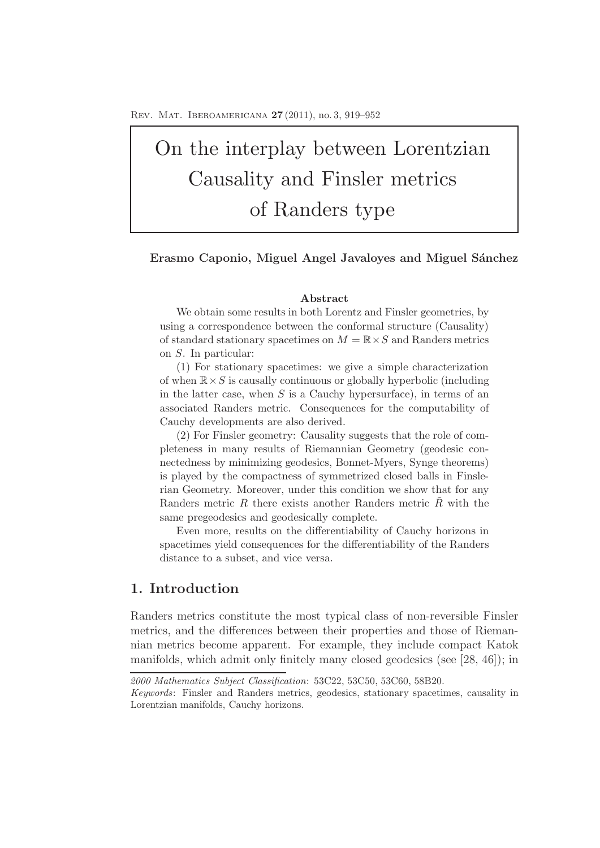# On the interplay between Lorentzian Causality and Finsler metrics of Randers type

## Erasmo Caponio, Miguel Angel Javaloyes and Miguel Sánchez

## **Abstract**

We obtain some results in both Lorentz and Finsler geometries, by using a correspondence between the conformal structure (Causality) of standard stationary spacetimes on  $M = \mathbb{R} \times S$  and Randers metrics on S. In particular:

(1) For stationary spacetimes: we give a simple characterization of when  $\mathbb{R} \times S$  is causally continuous or globally hyperbolic (including in the latter case, when  $S$  is a Cauchy hypersurface), in terms of an associated Randers metric. Consequences for the computability of Cauchy developments are also derived.

(2) For Finsler geometry: Causality suggests that the role of completeness in many results of Riemannian Geometry (geodesic connectedness by minimizing geodesics, Bonnet-Myers, Synge theorems) is played by the compactness of symmetrized closed balls in Finslerian Geometry. Moreover, under this condition we show that for any Randers metric R there exists another Randers metric  $\tilde{R}$  with the same pregeodesics and geodesically complete.

Even more, results on the differentiability of Cauchy horizons in spacetimes yield consequences for the differentiability of the Randers distance to a subset, and vice versa.

## **1. Introduction**

Randers metrics constitute the most typical class of non-reversible Finsler metrics, and the differences between their properties and those of Riemannian metrics become apparent. For example, they include compact Katok manifolds, which admit only finitely many closed geodesics (see [28, 46]); in

*<sup>2000</sup> Mathematics Subject Classification*: 53C22, 53C50, 53C60, 58B20.

*Keywords*: Finsler and Randers metrics, geodesics, stationary spacetimes, causality in Lorentzian manifolds, Cauchy horizons.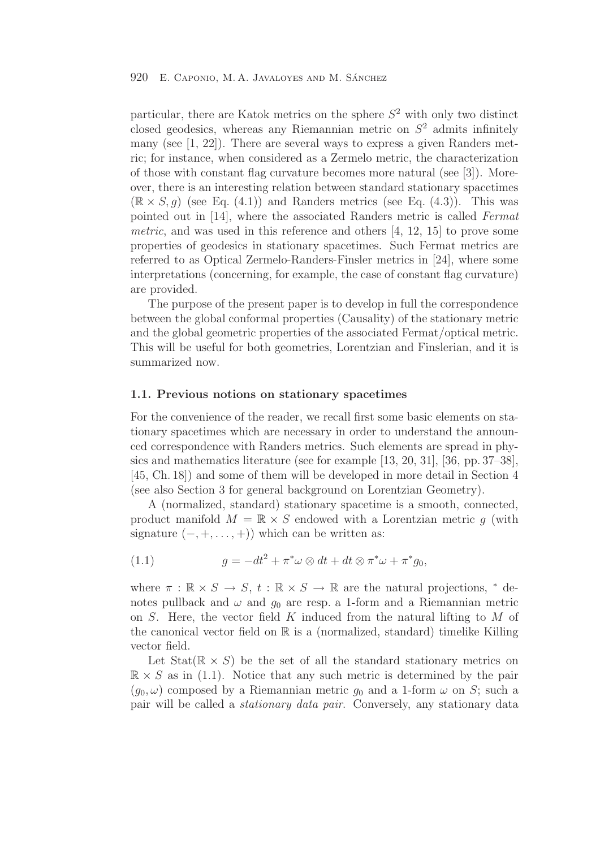particular, there are Katok metrics on the sphere  $S<sup>2</sup>$  with only two distinct closed geodesics, whereas any Riemannian metric on  $S<sup>2</sup>$  admits infinitely many (see [1, 22]). There are several ways to express a given Randers metric; for instance, when considered as a Zermelo metric, the characterization of those with constant flag curvature becomes more natural (see [3]). Moreover, there is an interesting relation between standard stationary spacetimes  $(\mathbb{R} \times S, q)$  (see Eq. (4.1)) and Randers metrics (see Eq. (4.3)). This was pointed out in [14], where the associated Randers metric is called Fermat metric, and was used in this reference and others [4, 12, 15] to prove some properties of geodesics in stationary spacetimes. Such Fermat metrics are referred to as Optical Zermelo-Randers-Finsler metrics in [24], where some interpretations (concerning, for example, the case of constant flag curvature) are provided.

The purpose of the present paper is to develop in full the correspondence between the global conformal properties (Causality) of the stationary metric and the global geometric properties of the associated Fermat/optical metric. This will be useful for both geometries, Lorentzian and Finslerian, and it is summarized now.

## **1.1. Previous notions on stationary spacetimes**

For the convenience of the reader, we recall first some basic elements on stationary spacetimes which are necessary in order to understand the announced correspondence with Randers metrics. Such elements are spread in physics and mathematics literature (see for example [13, 20, 31], [36, pp. 37–38], [45, Ch. 18]) and some of them will be developed in more detail in Section 4 (see also Section 3 for general background on Lorentzian Geometry).

A (normalized, standard) stationary spacetime is a smooth, connected, product manifold  $M = \mathbb{R} \times S$  endowed with a Lorentzian metric g (with signature  $(-, +, \ldots, +)$  which can be written as:

(1.1) 
$$
g = -dt^2 + \pi^* \omega \otimes dt + dt \otimes \pi^* \omega + \pi^* g_0,
$$

where  $\pi : \mathbb{R} \times S \to S$ ,  $t : \mathbb{R} \times S \to \mathbb{R}$  are the natural projections,  $*$  denotes pullback and  $\omega$  and  $g_0$  are resp. a 1-form and a Riemannian metric on  $S$ . Here, the vector field  $K$  induced from the natural lifting to  $M$  of the canonical vector field on  $\mathbb R$  is a (normalized, standard) timelike Killing vector field.

Let  $Stat(\mathbb{R} \times S)$  be the set of all the standard stationary metrics on  $\mathbb{R} \times S$  as in (1.1). Notice that any such metric is determined by the pair  $(q_0, \omega)$  composed by a Riemannian metric  $q_0$  and a 1-form  $\omega$  on S; such a pair will be called a stationary data pair. Conversely, any stationary data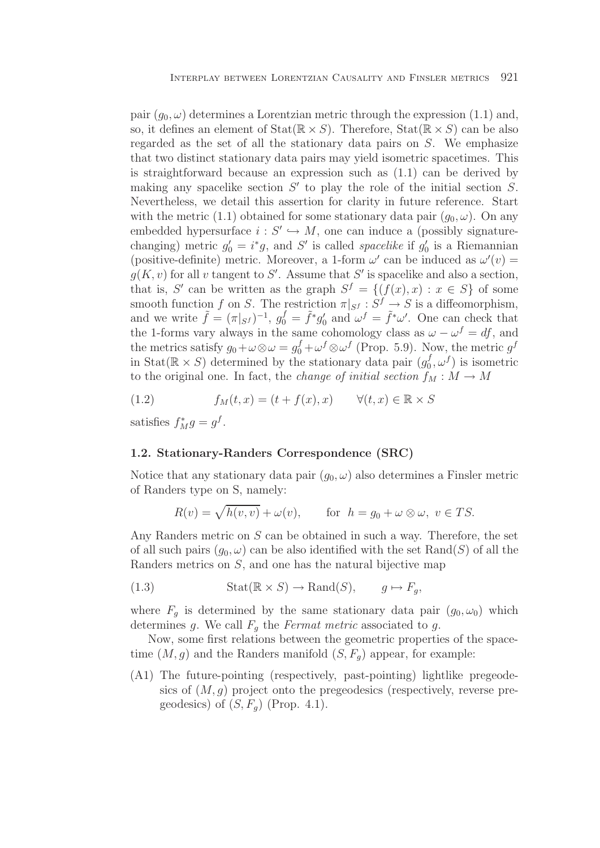pair  $(q_0, \omega)$  determines a Lorentzian metric through the expression (1.1) and, so, it defines an element of  $Stat(\mathbb{R} \times S)$ . Therefore,  $Stat(\mathbb{R} \times S)$  can be also regarded as the set of all the stationary data pairs on S. We emphasize that two distinct stationary data pairs may yield isometric spacetimes. This is straightforward because an expression such as (1.1) can be derived by making any spacelike section  $S'$  to play the role of the initial section S. Nevertheless, we detail this assertion for clarity in future reference. Start with the metric (1.1) obtained for some stationary data pair  $(q_0, \omega)$ . On any embedded hypersurface  $i: S' \hookrightarrow M$ , one can induce a (possibly signaturechanging) metric  $g'_0 = i^*g$ , and S' is called *spacelike* if  $g'_0$  is a Riemannian (positive-definite) metric. Moreover, a 1-form  $\omega'$  can be induced as  $\omega'(v)$  =  $g(K, v)$  for all v tangent to S'. Assume that S' is spacelike and also a section, that is, S' can be written as the graph  $S^f = \{(f(x), x) : x \in S\}$  of some smooth function f on S. The restriction  $\pi|_{S} f : S^f \to S$  is a diffeomorphism, and we write  $\tilde{f} = (\pi|_{S}t)^{-1}$ ,  $g_0^f = \tilde{f}^*g_0^t$  and  $\omega^f = \tilde{f}^*\omega'$ . One can check that the 1-forms vary always in the same cohomology class as  $\omega - \omega^f = df$ , and the metrics satisfy  $g_0 + \omega \otimes \omega = g_0^f + \omega^f \otimes \omega^f$  (Prop. 5.9). Now, the metric  $g^f$ in Stat( $\mathbb{R} \times S$ ) determined by the stationary data pair  $(g_0^f, \omega^f)$  is isometric to the original one. In fact, the *change of initial section*  $f_M : M \to M$ 

(1.2) 
$$
f_M(t,x) = (t + f(x),x) \qquad \forall (t,x) \in \mathbb{R} \times S
$$

satisfies  $f_M^* g = g^f$ .

## **1.2. Stationary-Randers Correspondence (SRC)**

Notice that any stationary data pair  $(g_0, \omega)$  also determines a Finsler metric of Randers type on S, namely:

$$
R(v) = \sqrt{h(v, v)} + \omega(v), \quad \text{for } h = g_0 + \omega \otimes \omega, v \in TS.
$$

Any Randers metric on S can be obtained in such a way. Therefore, the set of all such pairs  $(g_0, \omega)$  can be also identified with the set Rand(S) of all the Randers metrics on S, and one has the natural bijective map

(1.3) 
$$
Stat(\mathbb{R} \times S) \to \text{Rand}(S), \qquad g \mapsto F_g,
$$

where  $F_q$  is determined by the same stationary data pair  $(g_0, \omega_0)$  which determines g. We call  $F_q$  the Fermat metric associated to g.

Now, some first relations between the geometric properties of the spacetime  $(M, g)$  and the Randers manifold  $(S, F_q)$  appear, for example:

(A1) The future-pointing (respectively, past-pointing) lightlike pregeodesics of  $(M, q)$  project onto the pregeodesics (respectively, reverse pregeodesics) of  $(S, F_q)$  (Prop. 4.1).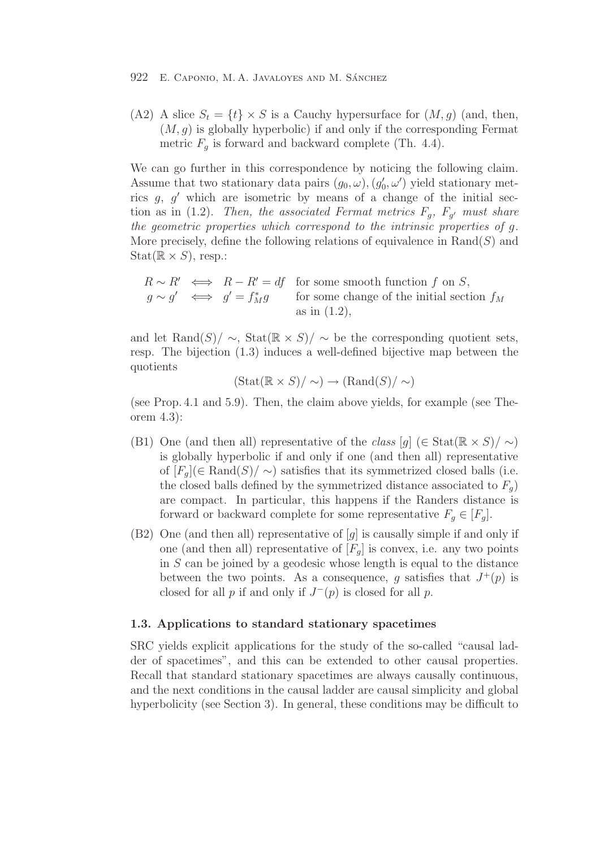(A2) A slice  $S_t = \{t\} \times S$  is a Cauchy hypersurface for  $(M, g)$  (and, then,  $(M, g)$  is globally hyperbolic) if and only if the corresponding Fermat metric  $F_q$  is forward and backward complete (Th. 4.4).

We can go further in this correspondence by noticing the following claim. Assume that two stationary data pairs  $(g_0, \omega), (g'_0, \omega')$  yield stationary metrics  $g, g'$  which are isometric by means of a change of the initial section as in (1.2). Then, the associated Fermat metrics  $F_g$ ,  $F_{g'}$  must share the geometric properties which correspond to the intrinsic properties of g. More precisely, define the following relations of equivalence in  $\text{Rand}(S)$  and  $Stat(\mathbb{R} \times S)$ , resp.:

$$
R \sim R' \iff R - R' = df \text{ for some smooth function } f \text{ on } S,
$$
  
\n
$$
g \sim g' \iff g' = f_M^* g \text{ for some change of the initial section } f_M
$$
  
\nas in (1.2),

and let Rand(S)/  $\sim$ , Stat( $\mathbb{R} \times S$ )/  $\sim$  be the corresponding quotient sets, resp. The bijection (1.3) induces a well-defined bijective map between the quotients

$$
(\text{Stat}(\mathbb{R} \times S)/\sim) \rightarrow (\text{Rand}(S)/\sim)
$$

(see Prop. 4.1 and 5.9). Then, the claim above yields, for example (see Theorem 4.3):

- (B1) One (and then all) representative of the class  $[q]$  (∈ Stat( $\mathbb{R} \times S$ )/  $\sim$ ) is globally hyperbolic if and only if one (and then all) representative of  $[F_q](\in \text{Rand}(S)/\sim)$  satisfies that its symmetrized closed balls (i.e. the closed balls defined by the symmetrized distance associated to  $F_q$ ) are compact. In particular, this happens if the Randers distance is forward or backward complete for some representative  $F_q \in [F_q]$ .
- $(B2)$  One (and then all) representative of  $[g]$  is causally simple if and only if one (and then all) representative of  $[F_q]$  is convex, i.e. any two points in  $S$  can be joined by a geodesic whose length is equal to the distance between the two points. As a consequence, q satisfies that  $J^+(p)$  is closed for all p if and only if  $J^-(p)$  is closed for all p.

## **1.3. Applications to standard stationary spacetimes**

SRC yields explicit applications for the study of the so-called "causal ladder of spacetimes", and this can be extended to other causal properties. Recall that standard stationary spacetimes are always causally continuous, and the next conditions in the causal ladder are causal simplicity and global hyperbolicity (see Section 3). In general, these conditions may be difficult to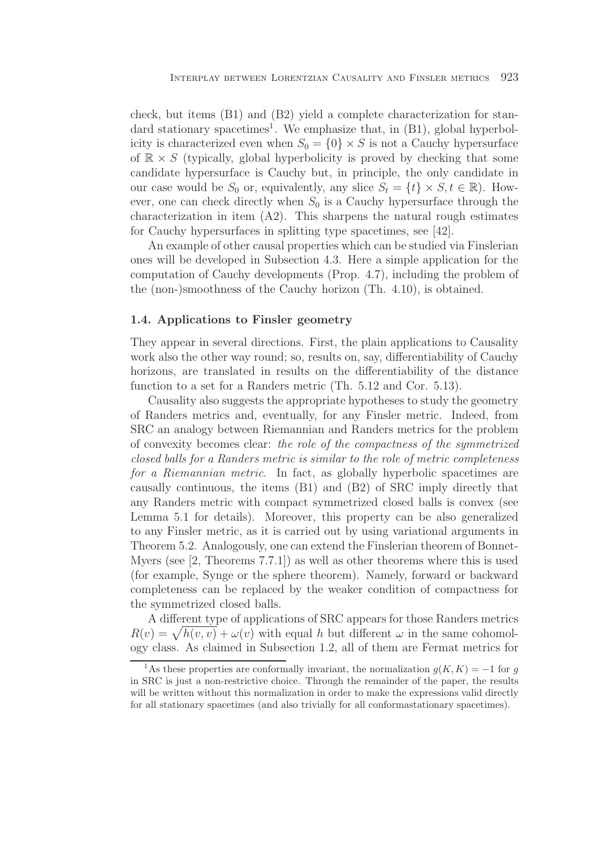check, but items (B1) and (B2) yield a complete characterization for standard stationary spacetimes<sup>1</sup>. We emphasize that, in  $(B1)$ , global hyperbolicity is characterized even when  $S_0 = \{0\} \times S$  is not a Cauchy hypersurface of  $\mathbb{R} \times S$  (typically, global hyperbolicity is proved by checking that some candidate hypersurface is Cauchy but, in principle, the only candidate in our case would be  $S_0$  or, equivalently, any slice  $S_t = \{t\} \times S, t \in \mathbb{R}$ . However, one can check directly when  $S_0$  is a Cauchy hypersurface through the characterization in item (A2). This sharpens the natural rough estimates for Cauchy hypersurfaces in splitting type spacetimes, see [42].

An example of other causal properties which can be studied via Finslerian ones will be developed in Subsection 4.3. Here a simple application for the computation of Cauchy developments (Prop. 4.7), including the problem of the (non-)smoothness of the Cauchy horizon (Th. 4.10), is obtained.

## **1.4. Applications to Finsler geometry**

They appear in several directions. First, the plain applications to Causality work also the other way round; so, results on, say, differentiability of Cauchy horizons, are translated in results on the differentiability of the distance function to a set for a Randers metric (Th. 5.12 and Cor. 5.13).

Causality also suggests the appropriate hypotheses to study the geometry of Randers metrics and, eventually, for any Finsler metric. Indeed, from SRC an analogy between Riemannian and Randers metrics for the problem of convexity becomes clear: the role of the compactness of the symmetrized closed balls for a Randers metric is similar to the role of metric completeness for a Riemannian metric. In fact, as globally hyperbolic spacetimes are causally continuous, the items (B1) and (B2) of SRC imply directly that any Randers metric with compact symmetrized closed balls is convex (see Lemma 5.1 for details). Moreover, this property can be also generalized to any Finsler metric, as it is carried out by using variational arguments in Theorem 5.2. Analogously, one can extend the Finslerian theorem of Bonnet-Myers (see [2, Theorems 7.7.1]) as well as other theorems where this is used (for example, Synge or the sphere theorem). Namely, forward or backward completeness can be replaced by the weaker condition of compactness for the symmetrized closed balls.

A different type of applications of SRC appears for those Randers metrics  $R(v) = \sqrt{h(v, v)} + \omega(v)$  with equal h but different  $\omega$  in the same cohomology class. As claimed in Subsection 1.2, all of them are Fermat metrics for

<sup>&</sup>lt;sup>1</sup>As these properties are conformally invariant, the normalization  $q(K, K) = -1$  for q in SRC is just a non-restrictive choice. Through the remainder of the paper, the results will be written without this normalization in order to make the expressions valid directly for all stationary spacetimes (and also trivially for all conformastationary spacetimes).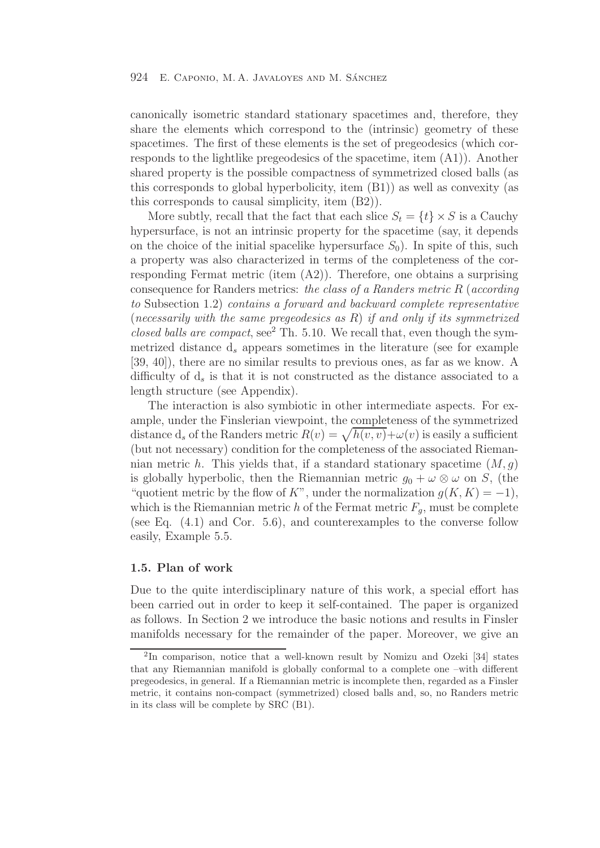canonically isometric standard stationary spacetimes and, therefore, they share the elements which correspond to the (intrinsic) geometry of these spacetimes. The first of these elements is the set of pregeodesics (which corresponds to the lightlike pregeodesics of the spacetime, item (A1)). Another shared property is the possible compactness of symmetrized closed balls (as this corresponds to global hyperbolicity, item (B1)) as well as convexity (as this corresponds to causal simplicity, item (B2)).

More subtly, recall that the fact that each slice  $S_t = \{t\} \times S$  is a Cauchy hypersurface, is not an intrinsic property for the spacetime (say, it depends on the choice of the initial spacelike hypersurface  $S_0$ ). In spite of this, such a property was also characterized in terms of the completeness of the corresponding Fermat metric (item (A2)). Therefore, one obtains a surprising consequence for Randers metrics: the class of a Randers metric  $R$  (according to Subsection 1.2) contains a forward and backward complete representative (necessarily with the same pregeodesics as  $R$ ) if and only if its symmetrized closed balls are compact,  $\sec^2$  Th. 5.10. We recall that, even though the symmetrized distance  $d_s$  appears sometimes in the literature (see for example [39, 40]), there are no similar results to previous ones, as far as we know. A difficulty of  $d_s$  is that it is not constructed as the distance associated to a length structure (see Appendix).

The interaction is also symbiotic in other intermediate aspects. For example, under the Finslerian viewpoint, the completeness of the symmetrized distance  $d_s$  of the Randers metric  $R(v) = \sqrt{h(v, v)} + \omega(v)$  is easily a sufficient (but not necessary) condition for the completeness of the associated Riemannian metric h. This yields that, if a standard stationary spacetime  $(M, g)$ is globally hyperbolic, then the Riemannian metric  $g_0 + \omega \otimes \omega$  on S, (the "quotient metric by the flow of K", under the normalization  $g(K, K) = -1$ ), which is the Riemannian metric h of the Fermat metric  $F_q$ , must be complete (see Eq. (4.1) and Cor. 5.6), and counterexamples to the converse follow easily, Example 5.5.

## **1.5. Plan of work**

Due to the quite interdisciplinary nature of this work, a special effort has been carried out in order to keep it self-contained. The paper is organized as follows. In Section 2 we introduce the basic notions and results in Finsler manifolds necessary for the remainder of the paper. Moreover, we give an

<sup>2</sup>In comparison, notice that a well-known result by Nomizu and Ozeki [34] states that any Riemannian manifold is globally conformal to a complete one –with different pregeodesics, in general. If a Riemannian metric is incomplete then, regarded as a Finsler metric, it contains non-compact (symmetrized) closed balls and, so, no Randers metric in its class will be complete by SRC (B1).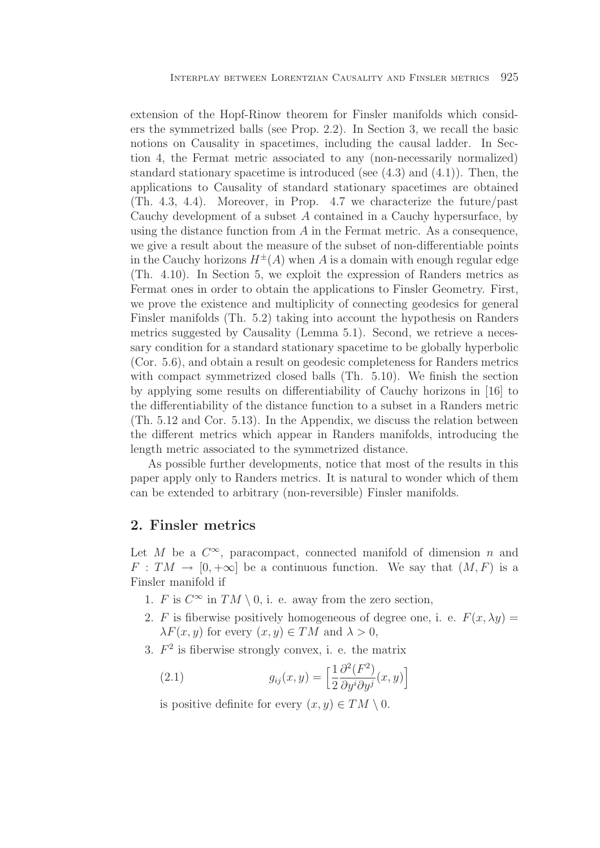extension of the Hopf-Rinow theorem for Finsler manifolds which considers the symmetrized balls (see Prop. 2.2). In Section 3, we recall the basic notions on Causality in spacetimes, including the causal ladder. In Section 4, the Fermat metric associated to any (non-necessarily normalized) standard stationary spacetime is introduced (see  $(4.3)$  and  $(4.1)$ ). Then, the applications to Causality of standard stationary spacetimes are obtained (Th. 4.3, 4.4). Moreover, in Prop. 4.7 we characterize the future/past Cauchy development of a subset A contained in a Cauchy hypersurface, by using the distance function from  $A$  in the Fermat metric. As a consequence, we give a result about the measure of the subset of non-differentiable points in the Cauchy horizons  $H^{\pm}(A)$  when A is a domain with enough regular edge (Th. 4.10). In Section 5, we exploit the expression of Randers metrics as Fermat ones in order to obtain the applications to Finsler Geometry. First, we prove the existence and multiplicity of connecting geodesics for general Finsler manifolds (Th. 5.2) taking into account the hypothesis on Randers metrics suggested by Causality (Lemma 5.1). Second, we retrieve a necessary condition for a standard stationary spacetime to be globally hyperbolic (Cor. 5.6), and obtain a result on geodesic completeness for Randers metrics with compact symmetrized closed balls (Th. 5.10). We finish the section by applying some results on differentiability of Cauchy horizons in [16] to the differentiability of the distance function to a subset in a Randers metric (Th. 5.12 and Cor. 5.13). In the Appendix, we discuss the relation between the different metrics which appear in Randers manifolds, introducing the length metric associated to the symmetrized distance.

As possible further developments, notice that most of the results in this paper apply only to Randers metrics. It is natural to wonder which of them can be extended to arbitrary (non-reversible) Finsler manifolds.

## **2. Finsler metrics**

Let M be a  $C^{\infty}$ , paracompact, connected manifold of dimension n and  $F: TM \to [0, +\infty]$  be a continuous function. We say that  $(M, F)$  is a Finsler manifold if

- 1. F is  $C^{\infty}$  in  $TM \setminus 0$ , i. e. away from the zero section,
- 2. F is fiberwise positively homogeneous of degree one, i. e.  $F(x, \lambda y) =$  $\lambda F(x, y)$  for every  $(x, y) \in TM$  and  $\lambda > 0$ ,
- 3.  $F<sup>2</sup>$  is fiberwise strongly convex, i. e. the matrix

(2.1) 
$$
g_{ij}(x,y) = \left[\frac{1}{2} \frac{\partial^2 (F^2)}{\partial y^i \partial y^j}(x,y)\right]
$$

is positive definite for every  $(x, y) \in TM \setminus 0$ .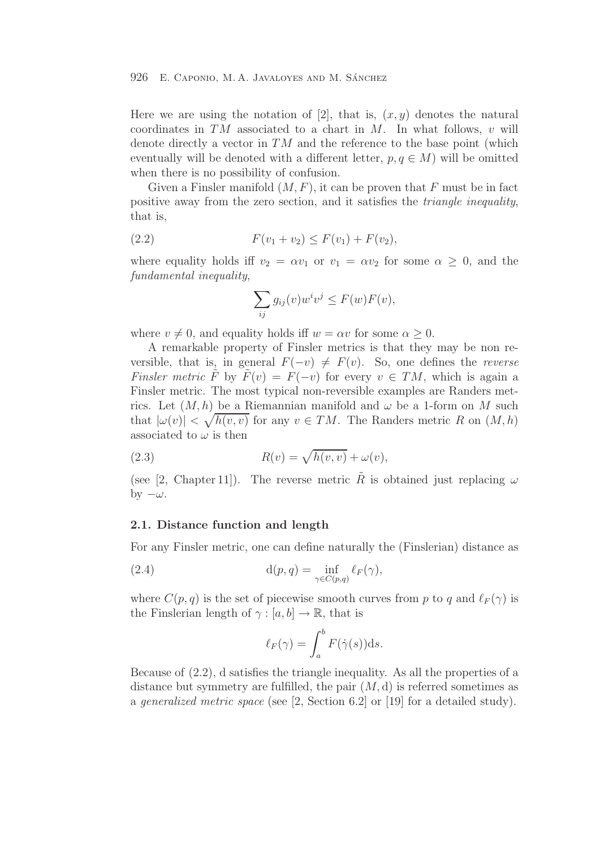Here we are using the notation of [2], that is,  $(x, y)$  denotes the natural coordinates in  $TM$  associated to a chart in  $M$ . In what follows, v will denote directly a vector in  $TM$  and the reference to the base point (which eventually will be denoted with a different letter,  $p, q \in M$ ) will be omitted when there is no possibility of confusion.

Given a Finsler manifold  $(M, F)$ , it can be proven that F must be in fact positive away from the zero section, and it satisfies the triangle inequality, that is,

$$
(2.2) \tF(v_1 + v_2) \leq F(v_1) + F(v_2),
$$

where equality holds iff  $v_2 = \alpha v_1$  or  $v_1 = \alpha v_2$  for some  $\alpha \geq 0$ , and the fundamental inequality,

$$
\sum_{ij} g_{ij}(v) w^i v^j \le F(w) F(v),
$$

where  $v \neq 0$ , and equality holds iff  $w = \alpha v$  for some  $\alpha \geq 0$ .

A remarkable property of Finsler metrics is that they may be non reversible, that is, in general  $F(-v) \neq F(v)$ . So, one defines the *reverse* Finsler metric F by  $F(v) = F(-v)$  for every  $v \in TM$ , which is again a Finsler metric. The most typical non-reversible examples are Randers metrics. Let  $(M, h)$  be a Riemannian manifold and  $\omega$  be a 1-form on M such that  $|\omega(v)| < \sqrt{h(v, v)}$  for any  $v \in TM$ . The Randers metric R on  $(M, h)$ associated to  $\omega$  is then

(2.3) 
$$
R(v) = \sqrt{h(v, v)} + \omega(v),
$$

(see [2, Chapter 11]). The reverse metric  $\tilde{R}$  is obtained just replacing  $\omega$ by  $-\omega$ .

## **2.1. Distance function and length**

For any Finsler metric, one can define naturally the (Finslerian) distance as

(2.4) 
$$
d(p,q) = \inf_{\gamma \in C(p,q)} \ell_F(\gamma),
$$

where  $C(p, q)$  is the set of piecewise smooth curves from p to q and  $\ell_F(\gamma)$  is the Finslerian length of  $\gamma : [a, b] \to \mathbb{R}$ , that is

$$
\ell_F(\gamma) = \int_a^b F(\dot{\gamma}(s)) \mathrm{d} s.
$$

Because of (2.2), d satisfies the triangle inequality. As all the properties of a distance but symmetry are fulfilled, the pair  $(M, d)$  is referred sometimes as a generalized metric space (see [2, Section 6.2] or [19] for a detailed study).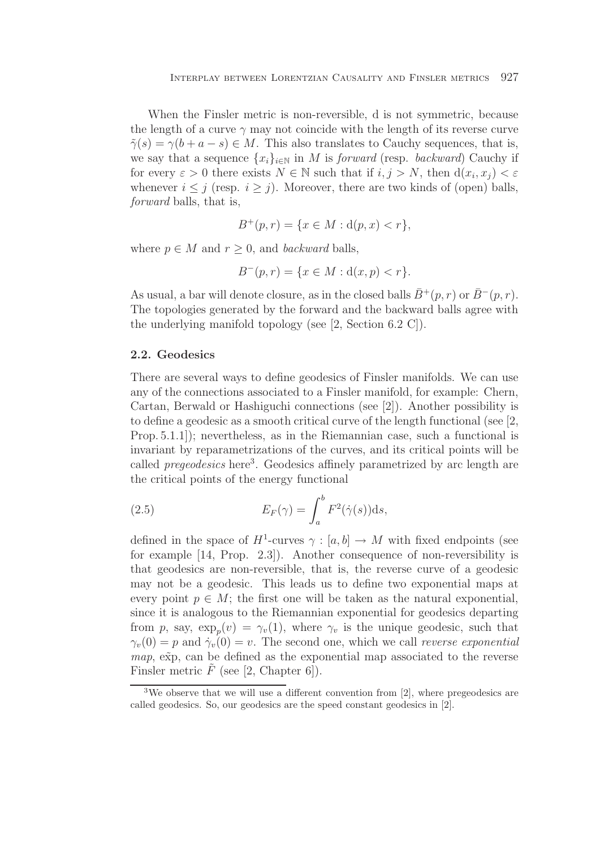When the Finsler metric is non-reversible, d is not symmetric, because the length of a curve  $\gamma$  may not coincide with the length of its reverse curve  $\tilde{\gamma}(s) = \gamma(b + a - s) \in M$ . This also translates to Cauchy sequences, that is, we say that a sequence  $\{x_i\}_{i\in\mathbb{N}}$  in M is forward (resp. backward) Cauchy if for every  $\varepsilon > 0$  there exists  $N \in \mathbb{N}$  such that if  $i, j > N$ , then  $d(x_i, x_j) < \varepsilon$ whenever  $i \leq j$  (resp.  $i \geq j$ ). Moreover, there are two kinds of (open) balls, forward balls, that is,

$$
B^+(p,r) = \{ x \in M : d(p,x) < r \},
$$

where  $p \in M$  and  $r \geq 0$ , and backward balls,

$$
B^-(p,r) = \{ x \in M : d(x,p) < r \}.
$$

As usual, a bar will denote closure, as in the closed balls  $\bar{B}^+(p,r)$  or  $\bar{B}^-(p,r)$ . The topologies generated by the forward and the backward balls agree with the underlying manifold topology (see [2, Section 6.2 C]).

## **2.2. Geodesics**

There are several ways to define geodesics of Finsler manifolds. We can use any of the connections associated to a Finsler manifold, for example: Chern, Cartan, Berwald or Hashiguchi connections (see [2]). Another possibility is to define a geodesic as a smooth critical curve of the length functional (see [2, Prop. 5.1.1]); nevertheless, as in the Riemannian case, such a functional is invariant by reparametrizations of the curves, and its critical points will be called *pregeodesics* here<sup>3</sup>. Geodesics affinely parametrized by arc length are the critical points of the energy functional

(2.5) 
$$
E_F(\gamma) = \int_a^b F^2(\dot{\gamma}(s))ds,
$$

defined in the space of  $H^1$ -curves  $\gamma : [a, b] \to M$  with fixed endpoints (see for example [14, Prop. 2.3]). Another consequence of non-reversibility is that geodesics are non-reversible, that is, the reverse curve of a geodesic may not be a geodesic. This leads us to define two exponential maps at every point  $p \in M$ ; the first one will be taken as the natural exponential, since it is analogous to the Riemannian exponential for geodesics departing from p, say,  $\exp_p(v) = \gamma_v(1)$ , where  $\gamma_v$  is the unique geodesic, such that  $\gamma_v(0) = v$  and  $\dot{\gamma}_v(0) = v$ . The second are which we call reverse expansion  $\gamma_v(0) = p$  and  $\dot{\gamma}_v(0) = v$ . The second one, which we call *reverse exponential*  $map$ ,  $e\tilde{xp}$ , can be defined as the exponential map associated to the reverse Finsler metric  $\tilde{F}$  (see [2, Chapter 6]).

<sup>3</sup>We observe that we will use a different convention from [2], where pregeodesics are called geodesics. So, our geodesics are the speed constant geodesics in [2].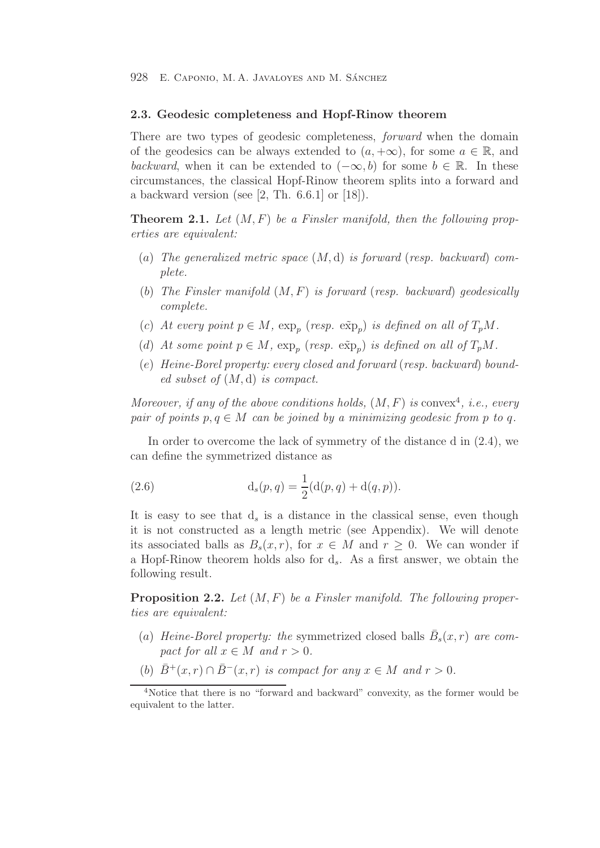#### **2.3. Geodesic completeness and Hopf-Rinow theorem**

There are two types of geodesic completeness, *forward* when the domain of the geodesics can be always extended to  $(a, +\infty)$ , for some  $a \in \mathbb{R}$ , and backward, when it can be extended to  $(-\infty, b)$  for some  $b \in \mathbb{R}$ . In these circumstances, the classical Hopf-Rinow theorem splits into a forward and a backward version (see  $[2, Th. 6.6.1]$  or  $[18]$ ).

**Theorem 2.1.** Let  $(M, F)$  be a Finsler manifold, then the following properties are equivalent:

- (a) The generalized metric space  $(M, d)$  is forward (resp. backward) complete.
- (b) The Finsler manifold  $(M, F)$  is forward (resp. backward) geodesically complete.
- (c) At every point  $p \in M$ ,  $\exp_p$  (resp.  $\exp_p$ ) is defined on all of  $T_pM$ .
- (d) At some point  $p \in M$ ,  $\exp_p$  (resp.  $\exp_p$ ) is defined on all of  $T_pM$ .
- (e) Heine-Borel property: every closed and forward (resp. backward) bounded subset of  $(M, d)$  is compact.

Moreover, if any of the above conditions holds,  $(M, F)$  is convex<sup>4</sup>, i.e., every pair of points  $p, q \in M$  can be joined by a minimizing geodesic from p to q.

In order to overcome the lack of symmetry of the distance d in (2.4), we can define the symmetrized distance as

(2.6) 
$$
d_s(p,q) = \frac{1}{2}(d(p,q) + d(q,p)).
$$

It is easy to see that  $d_s$  is a distance in the classical sense, even though it is not constructed as a length metric (see Appendix). We will denote its associated balls as  $B_s(x,r)$ , for  $x \in M$  and  $r \geq 0$ . We can wonder if a Hopf-Rinow theorem holds also for  $d_s$ . As a first answer, we obtain the following result.

**Proposition 2.2.** Let  $(M, F)$  be a Finsler manifold. The following properties are equivalent:

- (a) Heine-Borel property: the symmetrized closed balls  $\bar{B}_s(x,r)$  are compact for all  $x \in M$  and  $r > 0$ .
- (b)  $\bar{B}^+(x,r) \cap \bar{B}^-(x,r)$  is compact for any  $x \in M$  and  $r > 0$ .

<sup>&</sup>lt;sup>4</sup>Notice that there is no "forward and backward" convexity, as the former would be equivalent to the latter.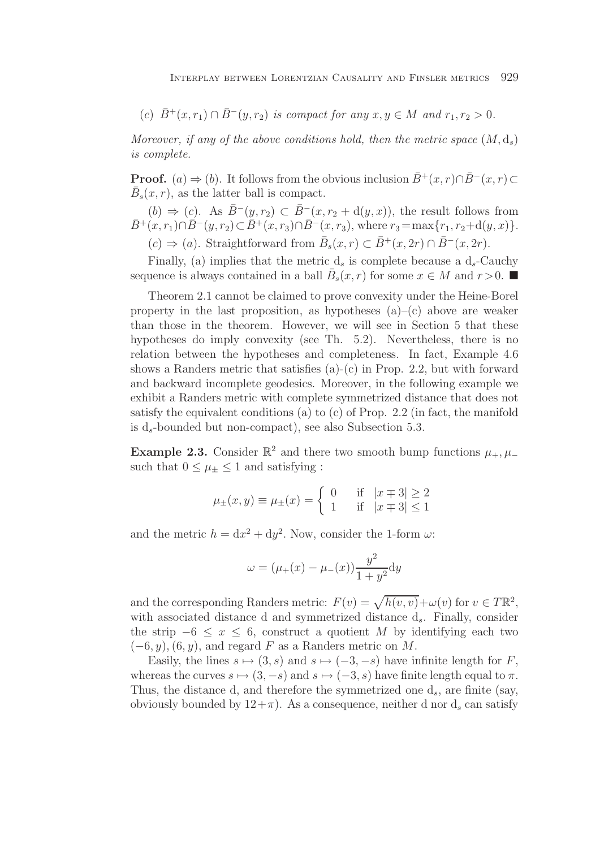(c)  $\bar{B}^+(x,r_1) \cap \bar{B}^-(y,r_2)$  is compact for any  $x, y \in M$  and  $r_1, r_2 > 0$ .

Moreover, if any of the above conditions hold, then the metric space  $(M, d_s)$ is complete.

**Proof.** (a)  $\Rightarrow$  (b). It follows from the obvious inclusion  $\bar{B}^+(x, r) \cap \bar{B}^-(x, r) \subset$  $\bar{B}_s(x, r)$ , as the latter ball is compact.

(b)  $\Rightarrow$  (c). As  $\bar{B}^{-}(y, r_2) \subset \bar{B}^{-}(x, r_2 + d(y, x))$ , the result follows from  $\bar{B}^+(x, r_1) \cap \bar{B}^-(y, r_2) \subset \bar{B}^+(x, r_3) \cap \bar{B}^-(x, r_3)$ , where  $r_3 = \max\{r_1, r_2 + d(y, x)\}.$  $(c) \Rightarrow (a)$ . Straightforward from  $\bar{B}_s(x, r) \subset \bar{B}^+(x, 2r) \cap \bar{B}^-(x, 2r)$ .

Finally, (a) implies that the metric  $d_s$  is complete because a  $d_s$ -Cauchy sequence is always contained in a ball  $\bar{B}_s(x,r)$  for some  $x \in M$  and  $r > 0$ .

Theorem 2.1 cannot be claimed to prove convexity under the Heine-Borel property in the last proposition, as hypotheses  $(a)$ – $(c)$  above are weaker than those in the theorem. However, we will see in Section 5 that these hypotheses do imply convexity (see Th. 5.2). Nevertheless, there is no relation between the hypotheses and completeness. In fact, Example 4.6 shows a Randers metric that satisfies  $(a)-(c)$  in Prop. 2.2, but with forward and backward incomplete geodesics. Moreover, in the following example we exhibit a Randers metric with complete symmetrized distance that does not satisfy the equivalent conditions (a) to (c) of Prop. 2.2 (in fact, the manifold is  $d_s$ -bounded but non-compact), see also Subsection 5.3.

**Example 2.3.** Consider  $\mathbb{R}^2$  and there two smooth bump functions  $\mu_+$ ,  $\mu_$ such that  $0 \leq \mu_{\pm} \leq 1$  and satisfying :

$$
\mu_{\pm}(x, y) \equiv \mu_{\pm}(x) = \begin{cases}\n0 & \text{if } |x \mp 3| \ge 2 \\
1 & \text{if } |x \mp 3| \le 1\n\end{cases}
$$

and the metric  $h = dx^2 + dy^2$ . Now, consider the 1-form  $\omega$ :

$$
\omega = (\mu_{+}(x) - \mu_{-}(x)) \frac{y^2}{1 + y^2} dy
$$

and the corresponding Randers metric:  $F(v) = \sqrt{h(v, v)} + \omega(v)$  for  $v \in T\mathbb{R}^2$ , with associated distance d and symmetrized distance  $d_s$ . Finally, consider the strip  $-6 \leq x \leq 6$ , construct a quotient M by identifying each two  $(-6, y)$ ,  $(6, y)$ , and regard F as a Randers metric on M.

Easily, the lines  $s \mapsto (3, s)$  and  $s \mapsto (-3, -s)$  have infinite length for F, whereas the curves  $s \mapsto (3, -s)$  and  $s \mapsto (-3, s)$  have finite length equal to  $\pi$ . Thus, the distance d, and therefore the symmetrized one  $d_s$ , are finite (say, obviously bounded by  $12+\pi$ ). As a consequence, neither d nor d<sub>s</sub> can satisfy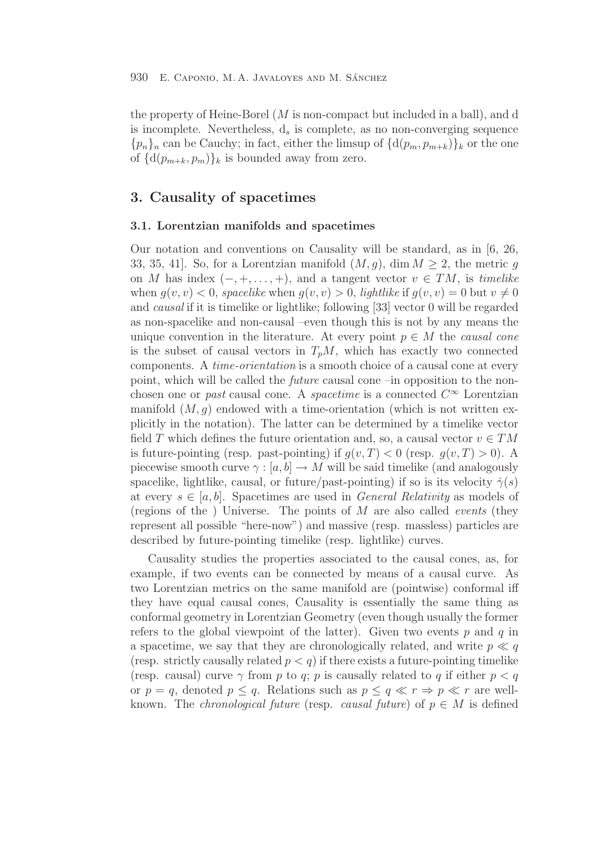the property of Heine-Borel  $(M \text{ is non-compact but included in a ball})$ , and d is incomplete. Nevertheless,  $d_s$  is complete, as no non-converging sequence  ${p_n}_n$  can be Cauchy; in fact, either the limsup of  ${d(p_m, p_{m+k})}_k$  or the one of  $\{d(p_{m+k}, p_m)\}\$ <sub>k</sub> is bounded away from zero.

## **3. Causality of spacetimes**

## **3.1. Lorentzian manifolds and spacetimes**

Our notation and conventions on Causality will be standard, as in [6, 26, 33, 35, 41. So, for a Lorentzian manifold  $(M, q)$ , dim  $M \geq 2$ , the metric q on M has index  $(-, +, \ldots, +)$ , and a tangent vector  $v \in TM$ , is timelike when  $q(v, v) < 0$ , spacelike when  $q(v, v) > 0$ , lightlike if  $q(v, v) = 0$  but  $v \neq 0$ and causal if it is timelike or lightlike; following [33] vector 0 will be regarded as non-spacelike and non-causal –even though this is not by any means the unique convention in the literature. At every point  $p \in M$  the causal cone is the subset of causal vectors in  $T_pM$ , which has exactly two connected components. A time-orientation is a smooth choice of a causal cone at every point, which will be called the future causal cone –in opposition to the nonchosen one or past causal cone. A spacetime is a connected  $C^{\infty}$  Lorentzian manifold  $(M, g)$  endowed with a time-orientation (which is not written explicitly in the notation). The latter can be determined by a timelike vector field T which defines the future orientation and, so, a causal vector  $v \in TM$ is future-pointing (resp. past-pointing) if  $g(v, T) < 0$  (resp.  $g(v, T) > 0$ ). A piecewise smooth curve  $\gamma : [a, b] \to M$  will be said timelike (and analogously spacelike, lightlike, causal, or future/past-pointing) if so is its velocity  $\dot{\gamma}(s)$ at every  $s \in [a, b]$ . Spacetimes are used in *General Relativity* as models of (regions of the ) Universe. The points of M are also called events (they represent all possible "here-now") and massive (resp. massless) particles are described by future-pointing timelike (resp. lightlike) curves.

Causality studies the properties associated to the causal cones, as, for example, if two events can be connected by means of a causal curve. As two Lorentzian metrics on the same manifold are (pointwise) conformal iff they have equal causal cones, Causality is essentially the same thing as conformal geometry in Lorentzian Geometry (even though usually the former refers to the global viewpoint of the latter). Given two events  $p$  and  $q$  in a spacetime, we say that they are chronologically related, and write  $p \ll q$ (resp. strictly causally related  $p < q$ ) if there exists a future-pointing timelike (resp. causal) curve  $\gamma$  from p to q; p is causally related to q if either  $p < q$ or  $p = q$ , denoted  $p \leq q$ . Relations such as  $p \leq q \ll r \Rightarrow p \ll r$  are wellknown. The *chronological future* (resp. *causal future*) of  $p \in M$  is defined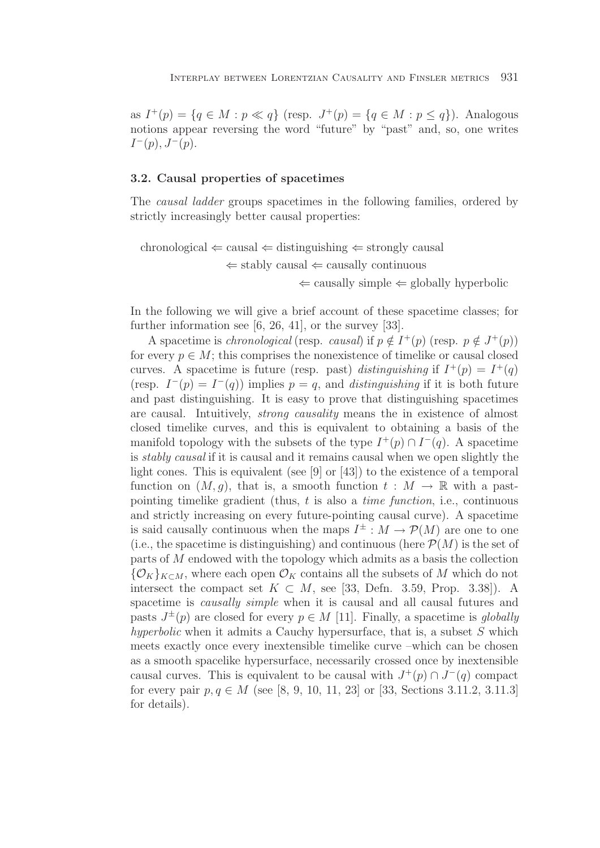as  $I^+(p) = \{q \in M : p \ll q\}$  (resp.  $J^+(p) = \{q \in M : p \leq q\}$ ). Analogous notions appear reversing the word "future" by "past" and, so, one writes  $I^-(p)$ ,  $J^-(p)$ .

## **3.2. Causal properties of spacetimes**

The causal ladder groups spacetimes in the following families, ordered by strictly increasingly better causal properties:

chronological  $\Leftarrow$  causal  $\Leftarrow$  distinguishing  $\Leftarrow$  strongly causal  $\Leftarrow$  stably causal  $\Leftarrow$  causally continuous  $\Leftarrow$  causally simple  $\Leftarrow$  globally hyperbolic

In the following we will give a brief account of these spacetime classes; for further information see [6, 26, 41], or the survey [33].

A spacetime is *chronological* (resp. *causal*) if  $p \notin I^+(p)$  (resp.  $p \notin J^+(p)$ ) for every  $p \in M$ ; this comprises the nonexistence of timelike or causal closed curves. A spacetime is future (resp. past) distinguishing if  $I^+(p) = I^+(q)$ (resp.  $I^-(p) = I^-(q)$ ) implies  $p = q$ , and *distinguishing* if it is both future and past distinguishing. It is easy to prove that distinguishing spacetimes are causal. Intuitively, strong causality means the in existence of almost closed timelike curves, and this is equivalent to obtaining a basis of the manifold topology with the subsets of the type  $I^+(p) \cap I^-(q)$ . A spacetime is stably causal if it is causal and it remains causal when we open slightly the light cones. This is equivalent (see [9] or [43]) to the existence of a temporal function on  $(M, g)$ , that is, a smooth function  $t : M \to \mathbb{R}$  with a pastpointing timelike gradient (thus,  $t$  is also a *time function*, i.e., continuous and strictly increasing on every future-pointing causal curve). A spacetime is said causally continuous when the maps  $I^{\pm}: M \to \mathcal{P}(M)$  are one to one (i.e., the spacetime is distinguishing) and continuous (here  $\mathcal{P}(M)$  is the set of parts of M endowed with the topology which admits as a basis the collection  ${\mathcal{O}_K}_{K\subset M}$ , where each open  ${\mathcal{O}_K}$  contains all the subsets of M which do not intersect the compact set  $K \subset M$ , see [33, Defn. 3.59, Prop. 3.38]). A spacetime is causally simple when it is causal and all causal futures and pasts  $J^{\pm}(p)$  are closed for every  $p \in M$  [11]. Finally, a spacetime is globally hyperbolic when it admits a Cauchy hypersurface, that is, a subset  $S$  which meets exactly once every inextensible timelike curve –which can be chosen as a smooth spacelike hypersurface, necessarily crossed once by inextensible causal curves. This is equivalent to be causal with  $J^+(p) \cap J^-(q)$  compact for every pair  $p, q \in M$  (see [8, 9, 10, 11, 23] or [33, Sections 3.11.2, 3.11.3] for details).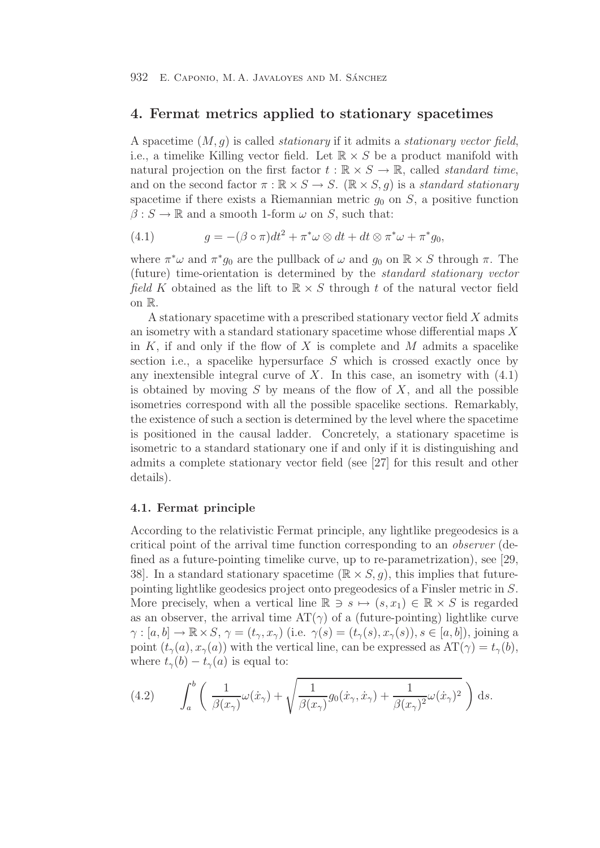## **4. Fermat metrics applied to stationary spacetimes**

A spacetime  $(M, g)$  is called *stationary* if it admits a *stationary vector field*, i.e., a timelike Killing vector field. Let  $\mathbb{R} \times S$  be a product manifold with natural projection on the first factor  $t : \mathbb{R} \times S \to \mathbb{R}$ , called *standard time*, and on the second factor  $\pi : \mathbb{R} \times S \to S$ .  $(\mathbb{R} \times S, q)$  is a standard stationary spacetime if there exists a Riemannian metric  $q_0$  on S, a positive function  $\beta: S \to \mathbb{R}$  and a smooth 1-form  $\omega$  on S, such that:

(4.1) 
$$
g = -(\beta \circ \pi)dt^{2} + \pi^{*}\omega \otimes dt + dt \otimes \pi^{*}\omega + \pi^{*}g_{0},
$$

where  $\pi^*\omega$  and  $\pi^*g_0$  are the pullback of  $\omega$  and  $g_0$  on  $\mathbb{R}\times S$  through  $\pi$ . The (future) time-orientation is determined by the standard stationary vector field K obtained as the lift to  $\mathbb{R} \times S$  through t of the natural vector field on R.

A stationary spacetime with a prescribed stationary vector field X admits an isometry with a standard stationary spacetime whose differential maps  $X$ in  $K$ , if and only if the flow of  $X$  is complete and  $M$  admits a spacelike section i.e., a spacelike hypersurface  $S$  which is crossed exactly once by any inextensible integral curve of X. In this case, an isometry with  $(4.1)$ is obtained by moving  $S$  by means of the flow of  $X$ , and all the possible isometries correspond with all the possible spacelike sections. Remarkably, the existence of such a section is determined by the level where the spacetime is positioned in the causal ladder. Concretely, a stationary spacetime is isometric to a standard stationary one if and only if it is distinguishing and admits a complete stationary vector field (see [27] for this result and other details).

## **4.1. Fermat principle**

According to the relativistic Fermat principle, any lightlike pregeodesics is a critical point of the arrival time function corresponding to an observer (defined as a future-pointing timelike curve, up to re-parametrization), see [29, 38. In a standard stationary spacetime ( $\mathbb{R} \times S$ , g), this implies that futurepointing lightlike geodesics project onto pregeodesics of a Finsler metric in S. More precisely, when a vertical line  $\mathbb{R} \ni s \mapsto (s, x_1) \in \mathbb{R} \times S$  is regarded as an observer, the arrival time  $AT(\gamma)$  of a (future-pointing) lightlike curve  $\gamma : [a, b] \to \mathbb{R} \times S$ ,  $\gamma = (t_{\gamma}, x_{\gamma})$  (i.e.  $\gamma(s) = (t_{\gamma}(s), x_{\gamma}(s)), s \in [a, b]$ ), joining a point  $(t_{\gamma}(a), x_{\gamma}(a))$  with the vertical line, can be expressed as  $AT(\gamma) = t_{\gamma}(b)$ , where  $t_{\gamma}(b) - t_{\gamma}(a)$  is equal to:

(4.2) 
$$
\int_{a}^{b} \left( \frac{1}{\beta(x_{\gamma})} \omega(\dot{x}_{\gamma}) + \sqrt{\frac{1}{\beta(x_{\gamma})} g_0(\dot{x}_{\gamma}, \dot{x}_{\gamma}) + \frac{1}{\beta(x_{\gamma})^2} \omega(\dot{x}_{\gamma})^2} \right) ds.
$$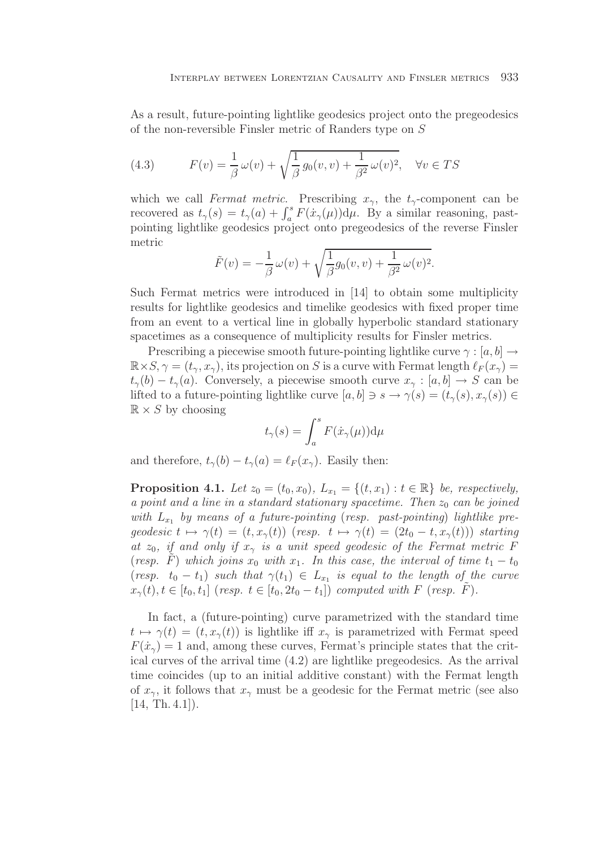As a result, future-pointing lightlike geodesics project onto the pregeodesics of the non-reversible Finsler metric of Randers type on S

(4.3) 
$$
F(v) = \frac{1}{\beta} \omega(v) + \sqrt{\frac{1}{\beta} g_0(v, v) + \frac{1}{\beta^2} \omega(v)^2}, \quad \forall v \in TS
$$

which we call Fermat metric. Prescribing  $x_{\gamma}$ , the  $t_{\gamma}$ -component can be recovered as  $t_{\gamma}(s) = t_{\gamma}(a) + \int_a^s F(\dot{x}_{\gamma}(\mu)) d\mu$ . By a similar reasoning, past-<br>pointing lightlike geodesics project onto pregeodesics of the reverse Finsler pointing lightlike geodesics project onto pregeodesics of the reverse Finsler metric

$$
\tilde{F}(v) = -\frac{1}{\beta}\omega(v) + \sqrt{\frac{1}{\beta}g_0(v,v) + \frac{1}{\beta^2}\omega(v)^2}.
$$

Such Fermat metrics were introduced in [14] to obtain some multiplicity results for lightlike geodesics and timelike geodesics with fixed proper time from an event to a vertical line in globally hyperbolic standard stationary spacetimes as a consequence of multiplicity results for Finsler metrics.

Prescribing a piecewise smooth future-pointing lightlike curve  $\gamma : [a, b] \rightarrow$  $\mathbb{R}\times S$ ,  $\gamma=(t_{\gamma},x_{\gamma})$ , its projection on S is a curve with Fermat length  $\ell_F(x_{\gamma})=$  $t_{\gamma}(b) - t_{\gamma}(a)$ . Conversely, a piecewise smooth curve  $x_{\gamma}: [a, b] \to S$  can be lifted to a future-pointing lightlike curve  $[a, b] \ni s \to \gamma(s) = (t_\gamma(s), x_\gamma(s)) \in$  $\mathbb{R} \times S$  by choosing

$$
t_{\gamma}(s) = \int_{a}^{s} F(\dot{x}_{\gamma}(\mu)) \mathrm{d}\mu
$$

and therefore,  $t_{\gamma}(b) - t_{\gamma}(a) = \ell_F(x_{\gamma})$ . Easily then:

**Proposition 4.1.** Let  $z_0 = (t_0, x_0)$ ,  $L_{x_1} = \{(t, x_1) : t \in \mathbb{R}\}\$ be, respectively, a point and a line in a standard stationary spacetime. Then  $z_0$  can be joined with  $L_{x_1}$  by means of a future-pointing (resp. past-pointing) lightlike pregeodesic  $t \mapsto \gamma(t)=(t, x_{\gamma}(t))$  (resp.  $t \mapsto \gamma(t) = (2t_0 - t, x_{\gamma}(t))$ ) starting at  $z_0$ , if and only if  $x_\gamma$  is a unit speed geodesic of the Fermat metric F (resp. F) which joins  $x_0$  with  $x_1$ . In this case, the interval of time  $t_1 - t_0$ (resp.  $t_0 - t_1$ ) such that  $\gamma(t_1) \in L_{x_1}$  is equal to the length of the curve  $x_{\gamma}(t), t \in [t_0, t_1]$  (resp.  $t \in [t_0, 2t_0 - t_1]$ ) computed with F (resp. F).

In fact, a (future-pointing) curve parametrized with the standard time  $t \mapsto \gamma(t)=(t, x_{\gamma}(t))$  is lightlike iff  $x_{\gamma}$  is parametrized with Fermat speed  $F(\dot{x}_{\gamma}) = 1$  and, among these curves, Fermat's principle states that the critical curves of the arrival time (4.2) are lightlike pregeodesics. As the arrival time coincides (up to an initial additive constant) with the Fermat length of  $x_{\gamma}$ , it follows that  $x_{\gamma}$  must be a geodesic for the Fermat metric (see also  $[14, Th. 4.1]$ .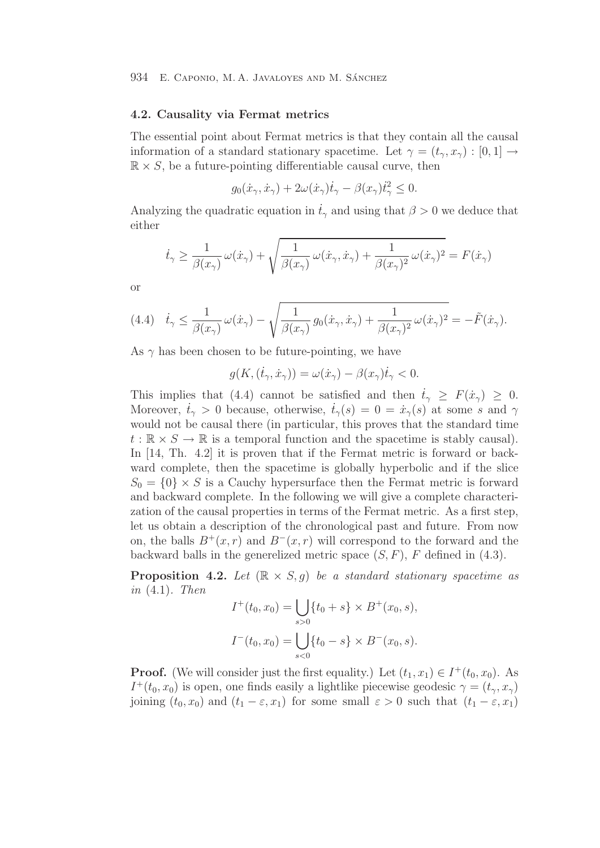## **4.2. Causality via Fermat metrics**

The essential point about Fermat metrics is that they contain all the causal information of a standard stationary spacetime. Let  $\gamma = (t_{\gamma}, x_{\gamma}) : [0, 1] \rightarrow$  $\mathbb{R} \times S$ , be a future-pointing differentiable causal curve, then

$$
g_0(\dot{x}_\gamma, \dot{x}_\gamma) + 2\omega(\dot{x}_\gamma)\dot{t}_\gamma - \beta(x_\gamma)\dot{t}_\gamma^2 \le 0.
$$

Analyzing the quadratic equation in  $\dot{t}_{\gamma}$  and using that  $\beta > 0$  we deduce that either

$$
\dot{t}_{\gamma} \ge \frac{1}{\beta(x_{\gamma})} \omega(\dot{x}_{\gamma}) + \sqrt{\frac{1}{\beta(x_{\gamma})} \omega(\dot{x}_{\gamma}, \dot{x}_{\gamma}) + \frac{1}{\beta(x_{\gamma})^2} \omega(\dot{x}_{\gamma})^2} = F(\dot{x}_{\gamma})
$$

or

(4.4) 
$$
\dot{t}_{\gamma} \leq \frac{1}{\beta(x_{\gamma})} \omega(\dot{x}_{\gamma}) - \sqrt{\frac{1}{\beta(x_{\gamma})} g_0(\dot{x}_{\gamma}, \dot{x}_{\gamma}) + \frac{1}{\beta(x_{\gamma})^2} \omega(\dot{x}_{\gamma})^2} = -\tilde{F}(\dot{x}_{\gamma}).
$$

As  $\gamma$  has been chosen to be future-pointing, we have

$$
g(K, (\dot{t}_{\gamma}, \dot{x}_{\gamma})) = \omega(\dot{x}_{\gamma}) - \beta(x_{\gamma})\dot{t}_{\gamma} < 0.
$$

This implies that (4.4) cannot be satisfied and then  $\dot{t}_{\gamma} \geq F(\dot{x}_{\gamma}) \geq 0$ .<br>Moreover  $\dot{t} > 0$  because otherwise  $\dot{t}$  (c) and  $\dot{t}$  (c) at some s and so Moreover,  $\dot{t}_{\gamma} > 0$  because, otherwise,  $\dot{t}_{\gamma}(s) = 0 = \dot{x}_{\gamma}(s)$  at some s and  $\gamma$ would not be causal there (in particular, this proves that the standard time  $t : \mathbb{R} \times S \to \mathbb{R}$  is a temporal function and the spacetime is stably causal). In [14, Th. 4.2] it is proven that if the Fermat metric is forward or backward complete, then the spacetime is globally hyperbolic and if the slice  $S_0 = \{0\} \times S$  is a Cauchy hypersurface then the Fermat metric is forward and backward complete. In the following we will give a complete characterization of the causal properties in terms of the Fermat metric. As a first step, let us obtain a description of the chronological past and future. From now on, the balls  $B^+(x, r)$  and  $B^-(x, r)$  will correspond to the forward and the backward balls in the generelized metric space  $(S, F)$ , F defined in  $(4.3)$ .

**Proposition 4.2.** Let  $(\mathbb{R} \times S, g)$  be a standard stationary spacetime as in  $(4.1)$ . Then

$$
I^+(t_0, x_0) = \bigcup_{s>0} \{t_0 + s\} \times B^+(x_0, s),
$$
  

$$
I^-(t_0, x_0) = \bigcup_{s<0} \{t_0 - s\} \times B^-(x_0, s).
$$

**Proof.** (We will consider just the first equality.) Let  $(t_1, x_1) \in I^+(t_0, x_0)$ . As  $I^+(t_0, x_0)$  is open, one finds easily a lightlike piecewise geodesic  $\gamma = (t_\gamma, x_\gamma)$ joining  $(t_0, x_0)$  and  $(t_1 - \varepsilon, x_1)$  for some small  $\varepsilon > 0$  such that  $(t_1 - \varepsilon, x_1)$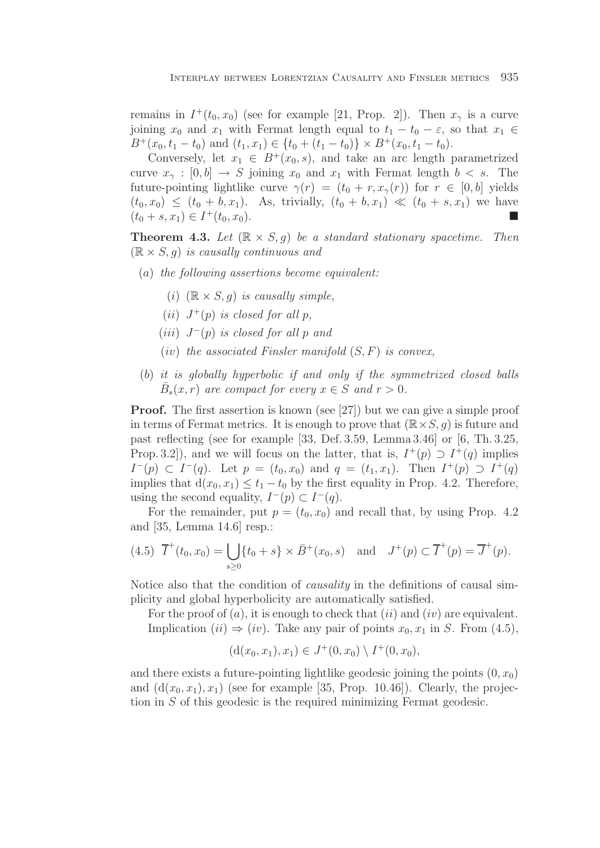remains in  $I^+(t_0, x_0)$  (see for example [21, Prop. 2]). Then  $x_\gamma$  is a curve joining  $x_0$  and  $x_1$  with Fermat length equal to  $t_1 - t_0 - \varepsilon$ , so that  $x_1 \in$  $B^+(x_0, t_1 - t_0)$  and  $(t_1, x_1) \in \{t_0 + (t_1 - t_0)\} \times B^+(x_0, t_1 - t_0).$ 

Conversely, let  $x_1 \in B^+(x_0, s)$ , and take an arc length parametrized curve  $x_{\gamma} : [0, b] \rightarrow S$  joining  $x_0$  and  $x_1$  with Fermat length  $b < s$ . The future-pointing lightlike curve  $\gamma(r)=(t_0 + r, x_\gamma(r))$  for  $r \in [0, b]$  yields  $(t_0, x_0) \leq (t_0 + b, x_1)$ . As, trivially,  $(t_0 + b, x_1) \ll (t_0 + s, x_1)$  we have  $(t_0 + s, x_1) \in I^+(t_0, x_0).$ 

**Theorem 4.3.** Let  $(\mathbb{R} \times S, q)$  be a standard stationary spacetime. Then  $(\mathbb{R} \times S, q)$  is causally continuous and

- (a) the following assertions become equivalent:
	- (i)  $(\mathbb{R} \times S, q)$  is causally simple,
	- (ii)  $J^+(p)$  is closed for all p.
	- (iii)  $J^-(p)$  is closed for all p and
	- (iv) the associated Finsler manifold  $(S, F)$  is convex,
- (b) it is globally hyperbolic if and only if the symmetrized closed balls  $\bar{B}_s(x,r)$  are compact for every  $x \in S$  and  $r > 0$ .

**Proof.** The first assertion is known (see [27]) but we can give a simple proof in terms of Fermat metrics. It is enough to prove that  $(\mathbb{R}\times S, q)$  is future and past reflecting (see for example [33, Def. 3.59, Lemma 3.46] or [6, Th. 3.25, Prop. 3.2]), and we will focus on the latter, that is,  $I^+(p) \supset I^+(q)$  implies  $I^-(p) \subset I^-(q)$ . Let  $p = (t_0, x_0)$  and  $q = (t_1, x_1)$ . Then  $I^+(p) \supset I^+(q)$ implies that  $d(x_0, x_1) \le t_1 - t_0$  by the first equality in Prop. 4.2. Therefore, using the second equality,  $I^-(p) \subset I^-(q)$ .

For the remainder, put  $p = (t_0, x_0)$  and recall that, by using Prop. 4.2 and [35, Lemma 14.6] resp.:

$$
(4.5) \ \overline{I}^+(t_0, x_0) = \bigcup_{s \ge 0} \{t_0 + s\} \times \overline{B}^+(x_0, s) \quad \text{and} \quad J^+(p) \subset \overline{I}^+(p) = \overline{J}^+(p).
$$

Notice also that the condition of causality in the definitions of causal simplicity and global hyperbolicity are automatically satisfied.

For the proof of  $(a)$ , it is enough to check that  $(ii)$  and  $(iv)$  are equivalent. Implication (ii)  $\Rightarrow$  (iv). Take any pair of points  $x_0, x_1$  in S. From (4.5),

$$
(d(x_0, x_1), x_1) \in J^+(0, x_0) \setminus I^+(0, x_0),
$$

and there exists a future-pointing lightlike geodesic joining the points  $(0, x_0)$ and  $(d(x_0, x_1), x_1)$  (see for example [35, Prop. 10.46]). Clearly, the projection in S of this geodesic is the required minimizing Fermat geodesic.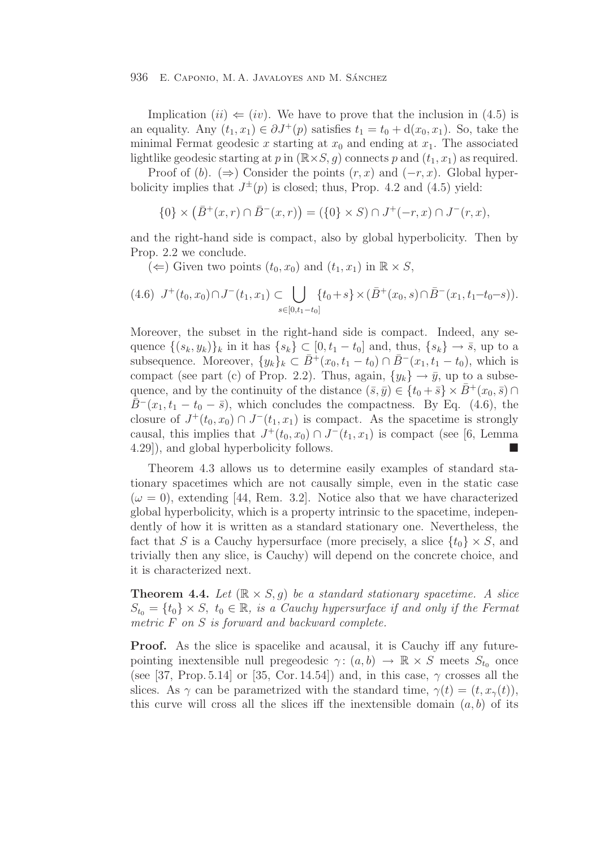Implication  $(ii) \Leftarrow (iv)$ . We have to prove that the inclusion in (4.5) is an equality. Any  $(t_1, x_1) \in \partial J^+(p)$  satisfies  $t_1 = t_0 + d(x_0, x_1)$ . So, take the minimal Fermat geodesic x starting at  $x_0$  and ending at  $x_1$ . The associated lightlike geodesic starting at p in  $(\mathbb{R} \times S, g)$  connects p and  $(t_1, x_1)$  as required.

Proof of (b). ( $\Rightarrow$ ) Consider the points  $(r, x)$  and  $(-r, x)$ . Global hyperbolicity implies that  $J^{\pm}(p)$  is closed; thus, Prop. 4.2 and (4.5) yield:

$$
\{0\} \times (\bar{B}^+(x,r) \cap \bar{B}^-(x,r)) = (\{0\} \times S) \cap J^+(-r,x) \cap J^-(r,x),
$$

and the right-hand side is compact, also by global hyperbolicity. Then by Prop. 2.2 we conclude.

(←) Given two points  $(t_0, x_0)$  and  $(t_1, x_1)$  in  $\mathbb{R} \times S$ ,

$$
(4.6) \ J^+(t_0, x_0) \cap J^-(t_1, x_1) \subset \bigcup_{s \in [0, t_1 - t_0]} \{t_0 + s\} \times (\bar{B}^+(x_0, s) \cap \bar{B}^-(x_1, t_1 - t_0 - s)).
$$

Moreover, the subset in the right-hand side is compact. Indeed, any sequence  $\{(s_k, y_k)\}_k$  in it has  $\{s_k\} \subset [0, t_1 - t_0]$  and, thus,  $\{s_k\} \to \overline{s}$ , up to a subsequence. Moreover,  $\{y_k\}_k \subset \overline{B}^+(x_0, t_1 - t_0) \cap \overline{B}^-(x_1, t_1 - t_0)$ , which is compact (see part (c) of Prop. 2.2). Thus, again,  $\{y_k\} \rightarrow \bar{y}$ , up to a subsequence, and by the continuity of the distance  $(\bar{s}, \bar{y}) \in \{t_0 + \bar{s}\} \times \bar{B}^+(x_0, \bar{s}) \cap$  $\overline{B}$ <sup>−</sup>(x<sub>1</sub>, t<sub>1</sub> − t<sub>0</sub> −  $\overline{s}$ ), which concludes the compactness. By Eq. (4.6), the closure of  $J^+(t_0, x_0) \cap J^-(t_1, x_1)$  is compact. As the spacetime is strongly causal, this implies that  $J^+(t_0, x_0) \cap J^-(t_1, x_1)$  is compact (see [6, Lemma 4.29]), and global hyperbolicity follows.

Theorem 4.3 allows us to determine easily examples of standard stationary spacetimes which are not causally simple, even in the static case  $(\omega = 0)$ , extending [44, Rem. 3.2]. Notice also that we have characterized global hyperbolicity, which is a property intrinsic to the spacetime, independently of how it is written as a standard stationary one. Nevertheless, the fact that S is a Cauchy hypersurface (more precisely, a slice  $\{t_0\} \times S$ , and trivially then any slice, is Cauchy) will depend on the concrete choice, and it is characterized next.

**Theorem 4.4.** Let  $(\mathbb{R} \times S, q)$  be a standard stationary spacetime. A slice  $S_{t_0} = \{t_0\} \times S$ ,  $t_0 \in \mathbb{R}$ , is a Cauchy hypersurface if and only if the Fermat metric F on S is forward and backward complete.

**Proof.** As the slice is spacelike and acausal, it is Cauchy iff any futurepointing inextensible null pregeodesic  $\gamma: (a, b) \to \mathbb{R} \times S$  meets  $S_{t_0}$  once (see [37, Prop. 5.14] or [35, Cor. 14.54]) and, in this case,  $\gamma$  crosses all the slices. As  $\gamma$  can be parametrized with the standard time,  $\gamma(t)=(t, x_{\gamma}(t)),$ this curve will cross all the slices iff the inextensible domain  $(a, b)$  of its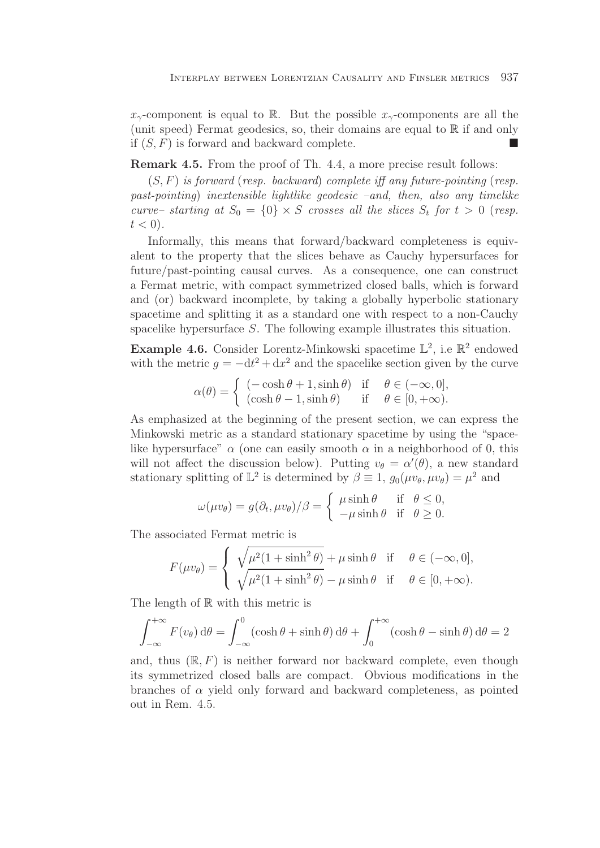$x_{\gamma}$ -component is equal to R. But the possible  $x_{\gamma}$ -components are all the (unit speed) Fermat geodesics, so, their domains are equal to  $\mathbb R$  if and only if  $(S, F)$  is forward and backward complete.

**Remark 4.5.** From the proof of Th. 4.4, a more precise result follows:

 $(S, F)$  is forward (resp. backward) complete iff any future-pointing (resp. past-pointing) inextensible lightlike geodesic –and, then, also any timelike curve– starting at  $S_0 = \{0\} \times S$  crosses all the slices  $S_t$  for  $t > 0$  (resp.  $t < 0$ ).

Informally, this means that forward/backward completeness is equivalent to the property that the slices behave as Cauchy hypersurfaces for future/past-pointing causal curves. As a consequence, one can construct a Fermat metric, with compact symmetrized closed balls, which is forward and (or) backward incomplete, by taking a globally hyperbolic stationary spacetime and splitting it as a standard one with respect to a non-Cauchy spacelike hypersurface S. The following example illustrates this situation.

**Example 4.6.** Consider Lorentz-Minkowski spacetime  $\mathbb{L}^2$ , i.e  $\mathbb{R}^2$  endowed with the metric  $g = -dt^2 + dx^2$  and the spacelike section given by the curve

$$
\alpha(\theta) = \begin{cases}\n(-\cosh \theta + 1, \sinh \theta) & \text{if } \theta \in (-\infty, 0], \\
(\cosh \theta - 1, \sinh \theta) & \text{if } \theta \in [0, +\infty).\n\end{cases}
$$

As emphasized at the beginning of the present section, we can express the Minkowski metric as a standard stationary spacetime by using the "spacelike hypersurface"  $\alpha$  (one can easily smooth  $\alpha$  in a neighborhood of 0, this will not affect the discussion below). Putting  $v_{\theta} = \alpha'(\theta)$ , a new standard stationary splitting of  $\mathbb{L}^2$  is determined by  $\beta \equiv 1$ ,  $g_0(\mu v_\theta, \mu v_\theta) = \mu^2$  and

$$
\omega(\mu v_{\theta}) = g(\partial_t, \mu v_{\theta})/\beta = \begin{cases} \mu \sinh \theta & \text{if } \theta \leq 0, \\ -\mu \sinh \theta & \text{if } \theta \geq 0. \end{cases}
$$

The associated Fermat metric is

$$
F(\mu v_{\theta}) = \begin{cases} \sqrt{\mu^2 (1 + \sinh^2 \theta)} + \mu \sinh \theta & \text{if } \theta \in (-\infty, 0], \\ \sqrt{\mu^2 (1 + \sinh^2 \theta)} - \mu \sinh \theta & \text{if } \theta \in [0, +\infty). \end{cases}
$$

The length of  $\mathbb R$  with this metric is

$$
\int_{-\infty}^{+\infty} F(v_{\theta}) d\theta = \int_{-\infty}^{0} (\cosh \theta + \sinh \theta) d\theta + \int_{0}^{+\infty} (\cosh \theta - \sinh \theta) d\theta = 2
$$

and, thus  $(\mathbb{R}, F)$  is neither forward nor backward complete, even though its symmetrized closed balls are compact. Obvious modifications in the branches of  $\alpha$  yield only forward and backward completeness, as pointed out in Rem. 4.5.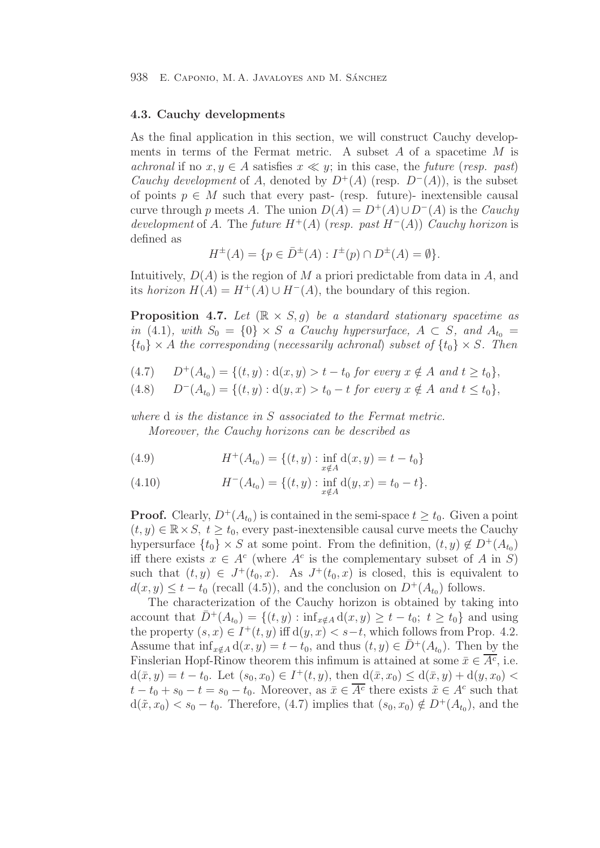## **4.3. Cauchy developments**

As the final application in this section, we will construct Cauchy developments in terms of the Fermat metric. A subset  $A$  of a spacetime  $M$  is achronal if no  $x, y \in A$  satisfies  $x \ll y$ ; in this case, the future (resp. past) Cauchy development of A, denoted by  $D^+(A)$  (resp.  $D^-(A)$ ), is the subset of points  $p \in M$  such that every past- (resp. future)- inextensible causal curve through p meets A. The union  $D(A) = D^+(A) \cup D^-(A)$  is the *Cauchy* development of A. The future  $H^+(A)$  (resp. past  $H^-(A)$ ) Cauchy horizon is defined as

$$
H^{\pm}(A) = \{ p \in \bar{D}^{\pm}(A) : I^{\pm}(p) \cap D^{\pm}(A) = \emptyset \}.
$$

Intuitively,  $D(A)$  is the region of M a priori predictable from data in A, and its horizon  $H(A) = H^+(A) \cup H^-(A)$ , the boundary of this region.

**Proposition 4.7.** Let  $(\mathbb{R} \times S, q)$  be a standard stationary spacetime as in (4.1), with  $S_0 = \{0\} \times S$  a Cauchy hypersurface,  $A \subset S$ , and  $A_{t_0} =$  ${t_0} \times A$  the corresponding (necessarily achronal) subset of  ${t_0} \times S$ . Then

- (4.7)  $D^+(A_{t_0}) = \{(t, y) : d(x, y) > t t_0 \text{ for every } x \notin A \text{ and } t \ge t_0\},$ <br>(4.8)  $D^-(A_{t_0}) = \{(t, y) : d(y, x) > t_0 t \text{ for every } x \notin A \text{ and } t \le t_0\},$
- $D^{-}(A_{t_0}) = \{(t, y) : d(y, x) > t_0 t \text{ for every } x \notin A \text{ and } t \leq t_0\},\$

where d is the distance in S associated to the Fermat metric. Moreover, the Cauchy horizons can be described as

(4.9) 
$$
H^+(A_{t_0}) = \{(t, y) : \inf_{x \notin A} d(x, y) = t - t_0\}
$$

(4.10) 
$$
H^{-}(A_{t_0}) = \{(t, y) : \inf_{x \notin A} d(y, x) = t_0 - t\}.
$$

**Proof.** Clearly,  $D^+(A_{t_0})$  is contained in the semi-space  $t \geq t_0$ . Given a point  $(t, y) \in \mathbb{R} \times S$ ,  $t \geq t_0$ , every past-inextensible causal curve meets the Cauchy hypersurface  $\{t_0\} \times S$  at some point. From the definition,  $(t, y) \notin D^+(A_{t_0})$ iff there exists  $x \in A^c$  (where  $A^c$  is the complementary subset of A in S) such that  $(t, y) \in J^+(t_0, x)$ . As  $J^+(t_0, x)$  is closed, this is equivalent to  $d(x, y) \leq t - t_0$  (recall (4.5)), and the conclusion on  $D^+(A_{t_0})$  follows.

The characterization of the Cauchy horizon is obtained by taking into account that  $\bar{D}^+(A_{t_0}) = \{(t, y) : \inf_{x \notin A} d(x, y) \geq t - t_0; t \geq t_0\}$  and using the property  $(s, x) \in I^+(t, y)$  iff  $d(y, x) < s-t$ , which follows from Prop. 4.2. Assume that  $\inf_{x \notin A} d(x, y) = t - t_0$ , and thus  $(t, y) \in \overline{D}^+(A_{t_0})$ . Then by the Finslerian Hopf-Rinow theorem this infimum is attained at some  $\bar{x} \in \overline{A^c}$ , i.e.  $d(\bar{x}, y) = t - t_0$ . Let  $(s_0, x_0) \in I^+(t, y)$ , then  $d(\bar{x}, x_0) \leq d(\bar{x}, y) + d(y, x_0)$  $t - t_0 + s_0 - t = s_0 - t_0$ . Moreover, as  $\bar{x} \in \overline{A^c}$  there exists  $\tilde{x} \in A^c$  such that  $d(\tilde{x}, x_0) < s_0 - t_0$ . Therefore, (4.7) implies that  $(s_0, x_0) \notin D^+(A_{t_0})$ , and the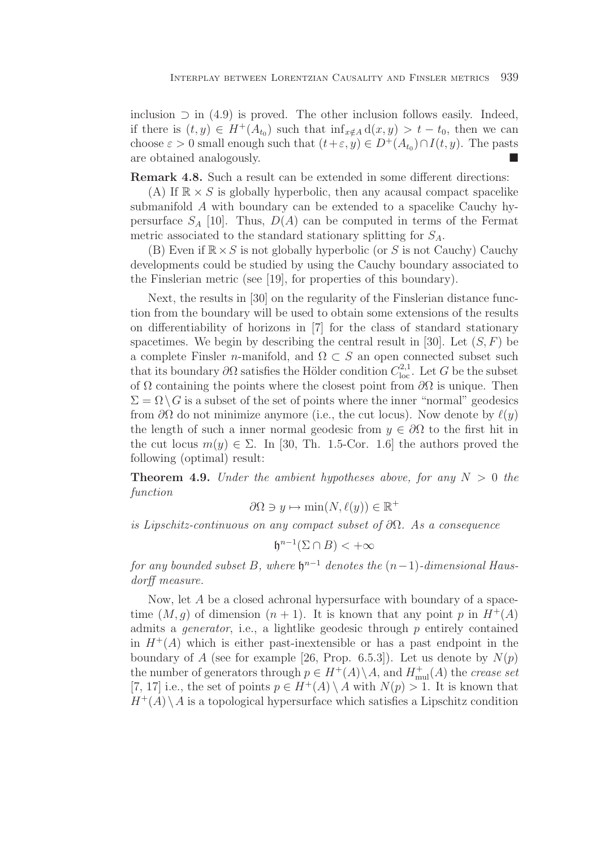inclusion  $\supset$  in (4.9) is proved. The other inclusion follows easily. Indeed, if there is  $(t, y) \in H^+(A_{t_0})$  such that  $\inf_{x \notin A} d(x, y) > t - t_0$ , then we can choose  $\varepsilon > 0$  small enough such that  $(t+\varepsilon, y) \in D^+(A_{t_0}) \cap I(t, y)$ . The pasts are obtained analogously are obtained analogously.

**Remark 4.8.** Such a result can be extended in some different directions:

(A) If  $\mathbb{R} \times S$  is globally hyperbolic, then any acausal compact spacelike submanifold A with boundary can be extended to a spacelike Cauchy hypersurface  $S_A$  [10]. Thus,  $D(A)$  can be computed in terms of the Fermat metric associated to the standard stationary splitting for  $S_A$ .

(B) Even if  $\mathbb{R} \times S$  is not globally hyperbolic (or S is not Cauchy) Cauchy developments could be studied by using the Cauchy boundary associated to the Finslerian metric (see [19], for properties of this boundary).

Next, the results in [30] on the regularity of the Finslerian distance function from the boundary will be used to obtain some extensions of the results on differentiability of horizons in [7] for the class of standard stationary spacetimes. We begin by describing the central result in [30]. Let  $(S, F)$  be a complete Finsler n-manifold, and  $\Omega \subset S$  an open connected subset such that its boundary  $\partial\Omega$  satisfies the Hölder condition  $C_{loc}^{2,1}$ . Let G be the subset of  $\Omega$  containing the points where the closest point from  $\partial\Omega$  is unique. Then  $\Sigma = \Omega \backslash G$  is a subset of the set of points where the inner "normal" geodesics from  $\partial\Omega$  do not minimize anymore (i.e., the cut locus). Now denote by  $\ell(y)$ the length of such a inner normal geodesic from  $y \in \partial\Omega$  to the first hit in the cut locus  $m(y) \in \Sigma$ . In [30, Th. 1.5-Cor. 1.6] the authors proved the following (optimal) result:

**Theorem 4.9.** Under the ambient hypotheses above, for any  $N > 0$  the function

$$
\partial\Omega \ni y \mapsto \min(N, \ell(y)) \in \mathbb{R}^+
$$

is Lipschitz-continuous on any compact subset of  $\partial\Omega$ . As a consequence

$$
\mathfrak{h}^{n-1}(\Sigma \cap B) < +\infty
$$

for any bounded subset B, where  $\mathfrak{h}^{n-1}$  denotes the  $(n-1)$ -dimensional Hausdorff measure.

Now, let A be a closed achronal hypersurface with boundary of a spacetime  $(M, q)$  of dimension  $(n + 1)$ . It is known that any point p in  $H^+(A)$ admits a *generator*, i.e., a lightlike geodesic through  $p$  entirely contained in  $H^+(A)$  which is either past-inextensible or has a past endpoint in the boundary of A (see for example [26, Prop. 6.5.3]). Let us denote by  $N(p)$ the number of generators through  $p \in H^+(A) \backslash A$ , and  $H^+_{\text{mul}}(A)$  the crease set [7, 17] i.e., the set of points  $p \in H^+(A) \setminus A$  with  $N(p) > 1$ . It is known that  $H^+(A) \setminus A$  is a topological hypersurface which satisfies a Lipschitz condition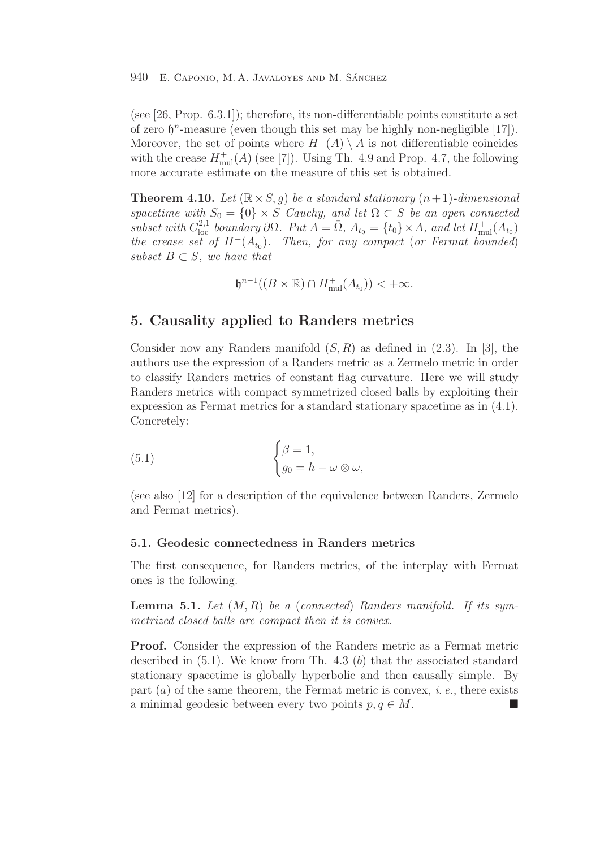(see [26, Prop. 6.3.1]); therefore, its non-differentiable points constitute a set of zero  $\mathfrak{h}^n$ -measure (even though this set may be highly non-negligible [17]). Moreover, the set of points where  $H^+(A) \setminus A$  is not differentiable coincides with the crease  $H_{\text{mul}}^{+}(A)$  (see [7]). Using Th. 4.9 and Prop. 4.7, the following more accurate estimate on the measure of this set is obtained.

**Theorem 4.10.** Let  $(\mathbb{R} \times S, g)$  be a standard stationary  $(n+1)$ -dimensional spacetime with  $S_0 = \{0\} \times S$  Cauchy, and let  $\Omega \subset S$  be an open connected subset with  $C_{\text{loc}}^{2,1}$  boundary  $\partial\Omega$ . Put  $A = \overline{\Omega}$ ,  $A_{t_0} = \{t_0\} \times A$ , and let  $H_{\text{mul}}^+(A_{t_0})$ the crease set of  $H^+(A_{t_0})$ . Then, for any compact (or Fermat bounded) subset  $B \subset S$ , we have that

 $\mathfrak{h}^{n-1}((B \times \mathbb{R}) \cap H_{\text{mul}}^+(A_{t_0})) < +\infty.$ 

## **5. Causality applied to Randers metrics**

Consider now any Randers manifold  $(S, R)$  as defined in  $(2.3)$ . In [3], the authors use the expression of a Randers metric as a Zermelo metric in order to classify Randers metrics of constant flag curvature. Here we will study Randers metrics with compact symmetrized closed balls by exploiting their expression as Fermat metrics for a standard stationary spacetime as in (4.1). Concretely:

(5.1) 
$$
\begin{cases} \beta = 1, \\ g_0 = h - \omega \otimes \omega, \end{cases}
$$

(see also [12] for a description of the equivalence between Randers, Zermelo and Fermat metrics).

## **5.1. Geodesic connectedness in Randers metrics**

The first consequence, for Randers metrics, of the interplay with Fermat ones is the following.

**Lemma 5.1.** Let  $(M, R)$  be a (connected) Randers manifold. If its symmetrized closed balls are compact then it is convex.

**Proof.** Consider the expression of the Randers metric as a Fermat metric described in  $(5.1)$ . We know from Th. 4.3 (b) that the associated standard stationary spacetime is globally hyperbolic and then causally simple. By part  $(a)$  of the same theorem, the Fermat metric is convex, *i.e.*, there exists a minimal geodesic between every two points  $p, q \in M$ .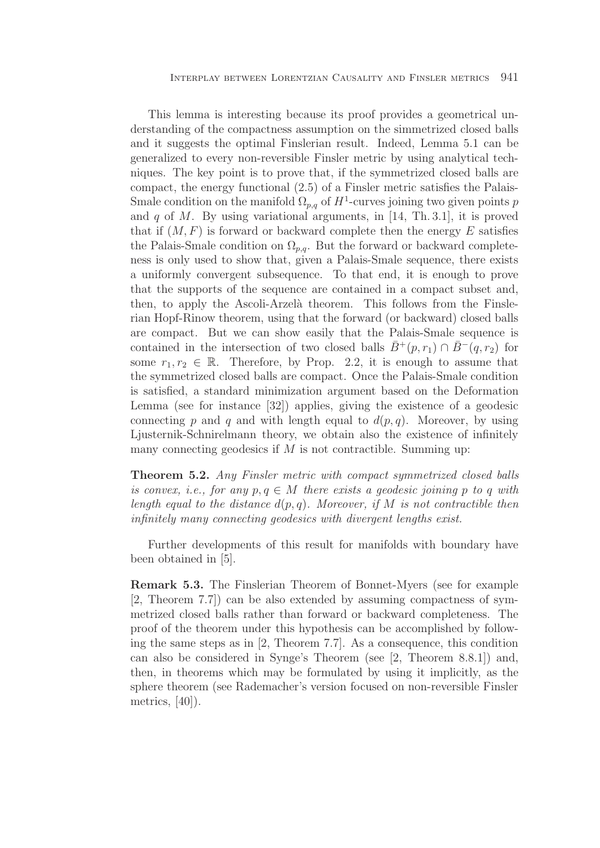This lemma is interesting because its proof provides a geometrical understanding of the compactness assumption on the simmetrized closed balls and it suggests the optimal Finslerian result. Indeed, Lemma 5.1 can be generalized to every non-reversible Finsler metric by using analytical techniques. The key point is to prove that, if the symmetrized closed balls are compact, the energy functional (2.5) of a Finsler metric satisfies the Palais-Smale condition on the manifold  $\Omega_{p,q}$  of  $H^1$ -curves joining two given points p and  $q$  of  $M$ . By using variational arguments, in [14, Th. 3.1], it is proved that if  $(M, F)$  is forward or backward complete then the energy E satisfies the Palais-Smale condition on  $\Omega_{p,q}$ . But the forward or backward completeness is only used to show that, given a Palais-Smale sequence, there exists a uniformly convergent subsequence. To that end, it is enough to prove that the supports of the sequence are contained in a compact subset and, then, to apply the Ascoli-Arzelà theorem. This follows from the Finslerian Hopf-Rinow theorem, using that the forward (or backward) closed balls are compact. But we can show easily that the Palais-Smale sequence is contained in the intersection of two closed balls  $\bar{B}^+(p, r_1) \cap \bar{B}^-(q, r_2)$  for some  $r_1, r_2 \in \mathbb{R}$ . Therefore, by Prop. 2.2, it is enough to assume that the symmetrized closed balls are compact. Once the Palais-Smale condition is satisfied, a standard minimization argument based on the Deformation Lemma (see for instance [32]) applies, giving the existence of a geodesic connecting p and q and with length equal to  $d(p, q)$ . Moreover, by using Ljusternik-Schnirelmann theory, we obtain also the existence of infinitely many connecting geodesics if  $M$  is not contractible. Summing up:

**Theorem 5.2.** Any Finsler metric with compact symmetrized closed balls is convex, i.e., for any  $p, q \in M$  there exists a geodesic joining p to q with length equal to the distance  $d(p, q)$ . Moreover, if M is not contractible then infinitely many connecting geodesics with divergent lengths exist.

Further developments of this result for manifolds with boundary have been obtained in [5].

**Remark 5.3.** The Finslerian Theorem of Bonnet-Myers (see for example [2, Theorem 7.7]) can be also extended by assuming compactness of symmetrized closed balls rather than forward or backward completeness. The proof of the theorem under this hypothesis can be accomplished by following the same steps as in [2, Theorem 7.7]. As a consequence, this condition can also be considered in Synge's Theorem (see [2, Theorem 8.8.1]) and, then, in theorems which may be formulated by using it implicitly, as the sphere theorem (see Rademacher's version focused on non-reversible Finsler metrics, [40]).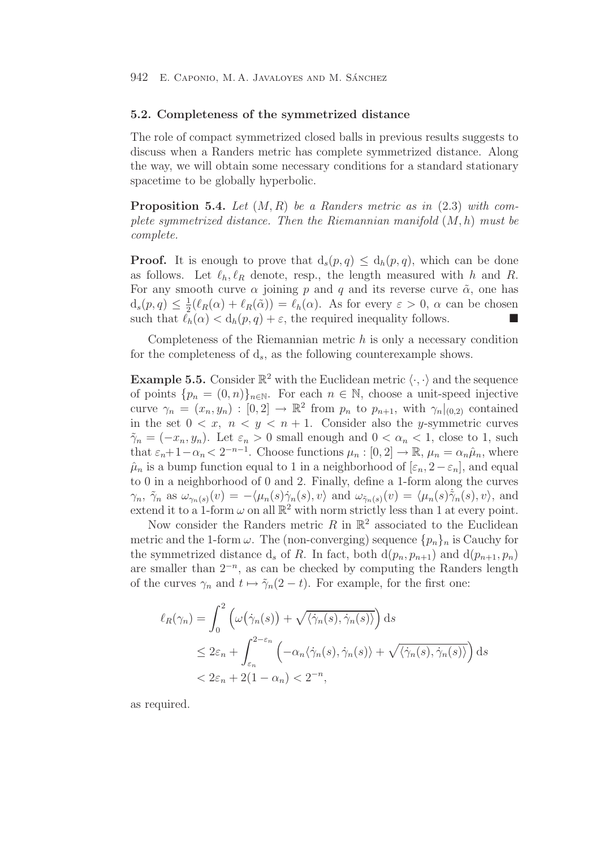## **5.2. Completeness of the symmetrized distance**

The role of compact symmetrized closed balls in previous results suggests to discuss when a Randers metric has complete symmetrized distance. Along the way, we will obtain some necessary conditions for a standard stationary spacetime to be globally hyperbolic.

**Proposition 5.4.** Let (M,R) be a Randers metric as in (2.3) with complete symmetrized distance. Then the Riemannian manifold  $(M, h)$  must be complete.

**Proof.** It is enough to prove that  $d_s(p,q) \leq d_h(p,q)$ , which can be done as follows. Let  $\ell_h, \ell_R$  denote, resp., the length measured with h and R. For any smooth curve  $\alpha$  joining p and q and its reverse curve  $\tilde{\alpha}$ , one has  $d_s(p,q) \leq \frac{1}{2}(\ell_R(\alpha) + \ell_R(\tilde{\alpha})) = \ell_h(\alpha)$ . As for every  $\varepsilon > 0$ ,  $\alpha$  can be chosen such that  $\ell_h(\alpha) < d_h(p, q) + \varepsilon$ , the required inequality follows.

Completeness of the Riemannian metric  $h$  is only a necessary condition for the completeness of  $d_s$ , as the following counterexample shows.

**Example 5.5.** Consider  $\mathbb{R}^2$  with the Euclidean metric  $\langle \cdot, \cdot \rangle$  and the sequence of points  $\{p_n = (0, n)\}_{n \in \mathbb{N}}$ . For each  $n \in \mathbb{N}$ , choose a unit-speed injective curve  $\gamma_n = (x_n, y_n) : [0, 2] \to \mathbb{R}^2$  from  $p_n$  to  $p_{n+1}$ , with  $\gamma_n |_{(0, 2)}$  contained in the set  $0 < x$ ,  $n < y < n + 1$ . Consider also the *y*-symmetric curves  $\tilde{\gamma}_n = (-x_n, y_n)$ . Let  $\varepsilon_n > 0$  small enough and  $0 < \alpha_n < 1$ , close to 1, such that  $\varepsilon_n+1-\alpha_n < 2^{-n-1}$ . Choose functions  $\mu_n : [0,2] \to \mathbb{R}$ ,  $\mu_n = \alpha_n \hat{\mu}_n$ , where  $\hat{\mu}_n$  is a bump function equal to 1 in a neighborhood of  $[\varepsilon_n, 2-\varepsilon_n]$ , and equal to 0 in a neighborhood of 0 and 2. Finally, define a 1-form along the curves  $\gamma_n$ ,  $\tilde{\gamma}_n$  as  $\omega_{\gamma_n(s)}(v) = -\langle \mu_n(s)\dot{\gamma}_n(s), v \rangle$  and  $\omega_{\tilde{\gamma}_n(s)}(v) = \langle \mu_n(s)\dot{\tilde{\gamma}}_n(s), v \rangle$ , and extend it to a 1-form  $\omega$  on all  $\mathbb{R}^2$  with norm strictly less than 1 at every point.

Now consider the Randers metric R in  $\mathbb{R}^2$  associated to the Euclidean metric and the 1-form  $\omega$ . The (non-converging) sequence  $\{p_n\}_n$  is Cauchy for the symmetrized distance  $d_s$  of R. In fact, both  $d(p_n, p_{n+1})$  and  $d(p_{n+1}, p_n)$ are smaller than  $2^{-n}$ , as can be checked by computing the Randers length of the curves  $\gamma_n$  and  $t \mapsto \tilde{\gamma}_n(2-t)$ . For example, for the first one:

$$
\ell_R(\gamma_n) = \int_0^2 \left( \omega(\dot{\gamma}_n(s)) + \sqrt{\langle \dot{\gamma}_n(s), \dot{\gamma}_n(s) \rangle} \right) ds
$$
  
\n
$$
\leq 2\varepsilon_n + \int_{\varepsilon_n}^{2-\varepsilon_n} \left( -\alpha_n \langle \dot{\gamma}_n(s), \dot{\gamma}_n(s) \rangle + \sqrt{\langle \dot{\gamma}_n(s), \dot{\gamma}_n(s) \rangle} \right) ds
$$
  
\n
$$
< 2\varepsilon_n + 2(1 - \alpha_n) < 2^{-n},
$$

as required.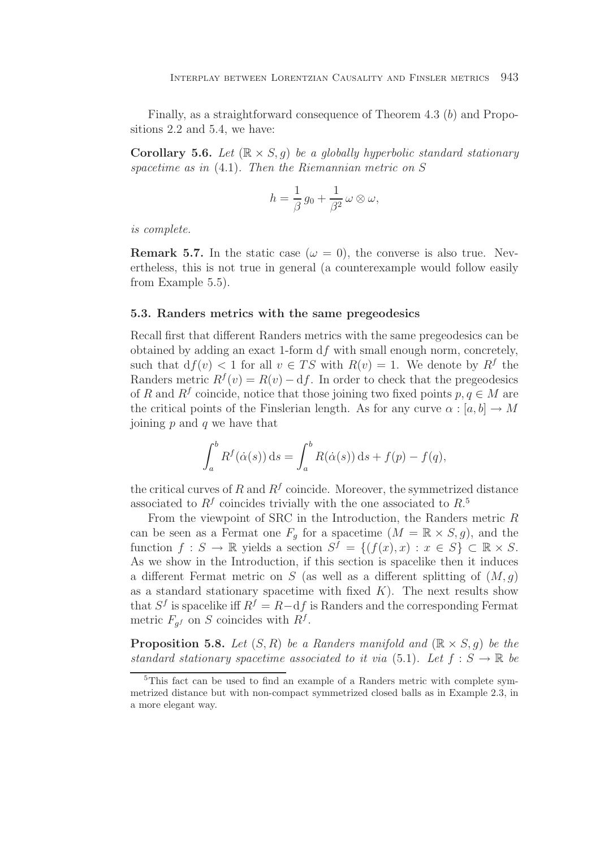Finally, as a straightforward consequence of Theorem 4.3 (b) and Propositions 2.2 and 5.4, we have:

**Corollary 5.6.** Let  $(\mathbb{R} \times S, g)$  be a globally hyperbolic standard stationary spacetime as in (4.1). Then the Riemannian metric on S

$$
h=\frac{1}{\beta}\,g_0+\frac{1}{\beta^2}\,\omega\otimes\omega,
$$

is complete.

**Remark 5.7.** In the static case ( $\omega = 0$ ), the converse is also true. Nevertheless, this is not true in general (a counterexample would follow easily from Example 5.5).

## **5.3. Randers metrics with the same pregeodesics**

Recall first that different Randers metrics with the same pregeodesics can be obtained by adding an exact 1-form  $df$  with small enough norm, concretely, such that  $df(v) < 1$  for all  $v \in TS$  with  $R(v) = 1$ . We denote by  $R^f$  the Randers metric  $R^f(v) = R(v) - df$ . In order to check that the pregeodesics of R and  $R^f$  coincide, notice that those joining two fixed points  $p, q \in M$  are the critical points of the Finslerian length. As for any curve  $\alpha : [a, b] \to M$ joining  $p$  and  $q$  we have that

$$
\int_a^b R^f(\dot{\alpha}(s)) ds = \int_a^b R(\dot{\alpha}(s)) ds + f(p) - f(q),
$$

the critical curves of R and  $R<sup>f</sup>$  coincide. Moreover, the symmetrized distance associated to  $R^f$  coincides trivially with the one associated to  $R^5$ .

From the viewpoint of SRC in the Introduction, the Randers metric  $R$ can be seen as a Fermat one  $F_g$  for a spacetime  $(M = \mathbb{R} \times S, g)$ , and the function  $f : S \to \mathbb{R}$  yields a section  $S^f = \{(f(x), x) : x \in S\} \subset \mathbb{R} \times S$ . As we show in the Introduction, if this section is spacelike then it induces a different Fermat metric on S (as well as a different splitting of  $(M, g)$ ) as a standard stationary spacetime with fixed  $K$ ). The next results show that  $S<sup>f</sup>$  is spacelike iff  $R<sup>f</sup> = R-df$  is Randers and the corresponding Fermat metric  $F_{af}$  on S coincides with  $R^f$ .

**Proposition 5.8.** Let  $(S, R)$  be a Randers manifold and  $(\mathbb{R} \times S, q)$  be the standard stationary spacetime associated to it via (5.1). Let  $f : S \to \mathbb{R}$  be

<sup>&</sup>lt;sup>5</sup>This fact can be used to find an example of a Randers metric with complete symmetrized distance but with non-compact symmetrized closed balls as in Example 2.3, in a more elegant way.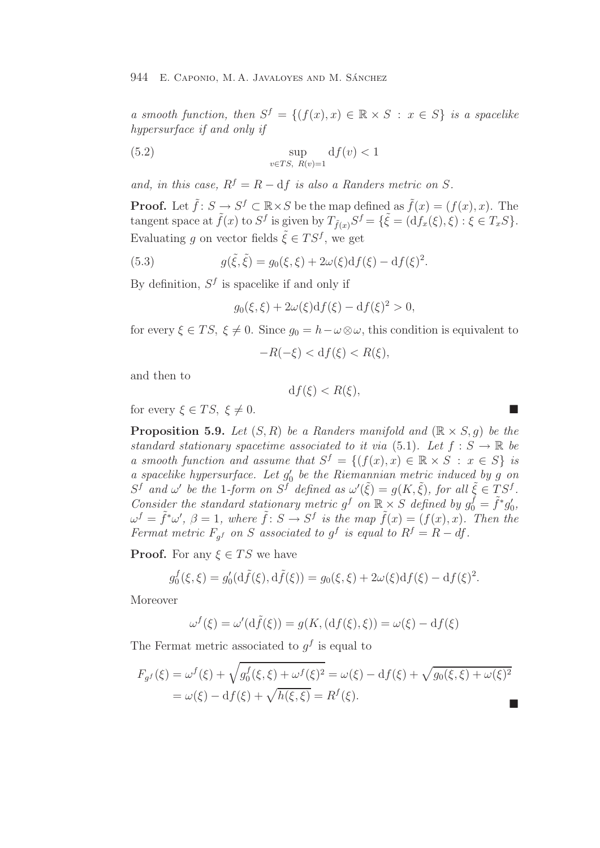a smooth function, then  $S^f = \{(f(x), x) \in \mathbb{R} \times S : x \in S\}$  is a spacelike hypersurface if and only if

(5.2) 
$$
\sup_{v \in TS, R(v)=1} df(v) < 1
$$

and, in this case,  $R^f = R - df$  is also a Randers metric on S.

**Proof.** Let  $\tilde{f}$ :  $S \to S^f \subset \mathbb{R} \times S$  be the map defined as  $\tilde{f}(x) = (f(x), x)$ . The tangent space at  $\tilde{f}(x)$  to  $S^f$  is given by  $T_{\tilde{f}(x)}S^f = {\tilde{\xi}} = (\tilde{df}_x(\xi), \xi) : \xi \in T_xS$ . Evaluating q on vector fields  $\tilde{\xi} \in TS^f$ , we get

(5.3) 
$$
g(\tilde{\xi}, \tilde{\xi}) = g_0(\xi, \xi) + 2\omega(\xi)df(\xi) - df(\xi)^2.
$$

By definition,  $S^f$  is spacelike if and only if

$$
g_0(\xi,\xi) + 2\omega(\xi)\mathrm{d}f(\xi) - \mathrm{d}f(\xi)^2 > 0,
$$

for every  $\xi \in TS$ ,  $\xi \neq 0$ . Since  $g_0 = h - \omega \otimes \omega$ , this condition is equivalent to

$$
-R(-\xi) < \mathrm{d}f(\xi) < R(\xi),
$$

and then to

$$
\mathrm{d}f(\xi) < R(\xi),
$$

for every  $\xi \in TS$ ,  $\xi \neq 0$ .

**Proposition 5.9.** Let  $(S, R)$  be a Randers manifold and  $(\mathbb{R} \times S, q)$  be the standard stationary spacetime associated to it via (5.1). Let  $f : S \to \mathbb{R}$  be a smooth function and assume that  $S^f = \{(f(x), x) \in \mathbb{R} \times S : x \in S\}$  is a spacelike hypersurface. Let  $g'_0$  be the Riemannian metric induced by g on  $S^f$  and  $\omega'$  be the 1-form on  $S^f$  defined as  $\omega'(\tilde{\xi}) = g(K, \tilde{\xi})$ , for all  $\tilde{\xi} \in TS^f$ . Consider the standard stationary metric  $g^f$  on  $\mathbb{R} \times S$  defined by  $g_0^{\tilde{f}} = \tilde{f}^* g'_0$ ,  $\omega^f = \tilde{f}^*\omega'$ ,  $\beta = 1$ , where  $\tilde{f} : S \to S^f$  is the map  $\tilde{f}(x) = (f(x), x)$ . Then the Fermat metric  $F_{qf}$  on S associated to g<sup>f</sup> is equal to  $R^f = R - df$ .

**Proof.** For any  $\xi \in TS$  we have

$$
g_0^f(\xi, \xi) = g_0'(\mathrm{d}\tilde{f}(\xi), \mathrm{d}\tilde{f}(\xi)) = g_0(\xi, \xi) + 2\omega(\xi)\mathrm{d}f(\xi) - \mathrm{d}f(\xi)^2.
$$

Moreover

$$
\omega^f(\xi) = \omega'(\mathrm{d}\tilde{f}(\xi)) = g(K,(\mathrm{d}f(\xi),\xi)) = \omega(\xi) - \mathrm{d}f(\xi)
$$

The Fermat metric associated to  $g<sup>f</sup>$  is equal to

$$
F_{g}f(\xi) = \omega^f(\xi) + \sqrt{g_0^f(\xi, \xi) + \omega^f(\xi)^2} = \omega(\xi) - df(\xi) + \sqrt{g_0(\xi, \xi) + \omega(\xi)^2}
$$
  
=  $\omega(\xi) - df(\xi) + \sqrt{h(\xi, \xi)} = R^f(\xi).$ 

$$
\mathcal{L}_{\mathcal{A}}
$$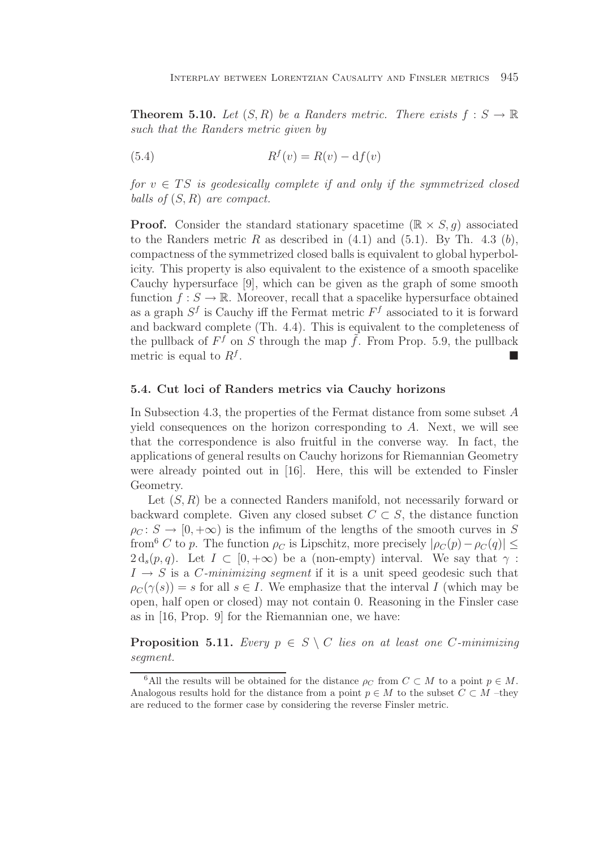**Theorem 5.10.** Let  $(S, R)$  be a Randers metric. There exists  $f : S \to \mathbb{R}$ such that the Randers metric given by

$$
(5.4) \t\t\t Rf(v) = R(v) - df(v)
$$

for  $v \in TS$  is geodesically complete if and only if the symmetrized closed balls of  $(S, R)$  are compact.

**Proof.** Consider the standard stationary spacetime  $(\mathbb{R} \times S, q)$  associated to the Randers metric R as described in  $(4.1)$  and  $(5.1)$ . By Th. 4.3 (b), compactness of the symmetrized closed balls is equivalent to global hyperbolicity. This property is also equivalent to the existence of a smooth spacelike Cauchy hypersurface [9], which can be given as the graph of some smooth function  $f: S \to \mathbb{R}$ . Moreover, recall that a spacelike hypersurface obtained as a graph  $S^f$  is Cauchy iff the Fermat metric  $F^f$  associated to it is forward and backward complete (Th. 4.4). This is equivalent to the completeness of the pullback of  $F^f$  on S through the map  $\tilde{f}$ . From Prop. 5.9, the pullback metric is equal to  $R^f$ .

## **5.4. Cut loci of Randers metrics via Cauchy horizons**

In Subsection 4.3, the properties of the Fermat distance from some subset A yield consequences on the horizon corresponding to A. Next, we will see that the correspondence is also fruitful in the converse way. In fact, the applications of general results on Cauchy horizons for Riemannian Geometry were already pointed out in [16]. Here, this will be extended to Finsler Geometry.

Let  $(S, R)$  be a connected Randers manifold, not necessarily forward or backward complete. Given any closed subset  $C \subset S$ , the distance function  $\rho_C : S \to [0, +\infty)$  is the infimum of the lengths of the smooth curves in S from<sup>6</sup> C to p. The function  $\rho_C$  is Lipschitz, more precisely  $|\rho_C(p) - \rho_C(q)| \le$  $2 d_s(p,q)$ . Let  $I \subset [0,+\infty)$  be a (non-empty) interval. We say that  $\gamma$ :  $I \rightarrow S$  is a *C*-minimizing segment if it is a unit speed geodesic such that  $\rho_C(\gamma(s)) = s$  for all  $s \in I$ . We emphasize that the interval I (which may be open, half open or closed) may not contain 0. Reasoning in the Finsler case as in [16, Prop. 9] for the Riemannian one, we have:

**Proposition 5.11.** Every  $p \in S \setminus C$  lies on at least one C-minimizing segment.

<sup>&</sup>lt;sup>6</sup>All the results will be obtained for the distance  $\rho_C$  from  $C \subset M$  to a point  $p \in M$ . Analogous results hold for the distance from a point  $p \in M$  to the subset  $C \subset M$  –they are reduced to the former case by considering the reverse Finsler metric.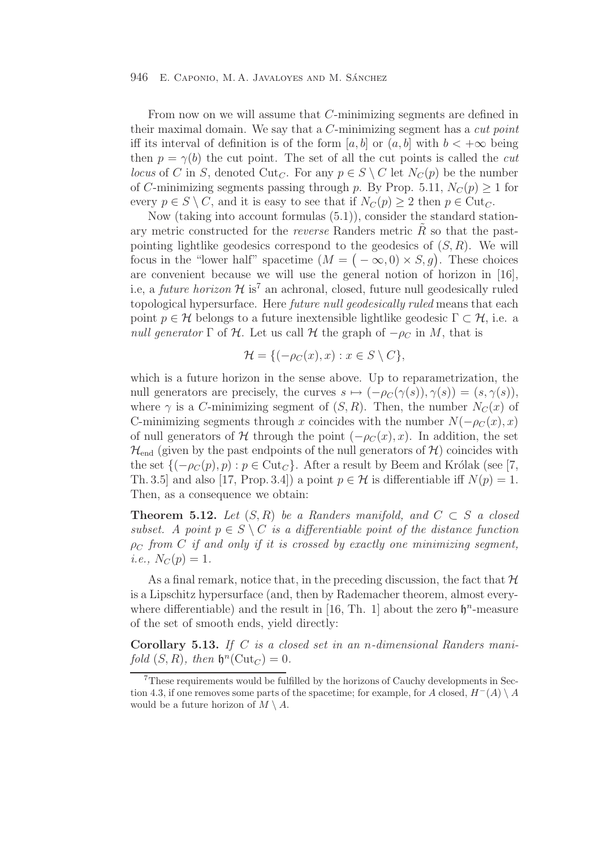From now on we will assume that C-minimizing segments are defined in their maximal domain. We say that a C-minimizing segment has a cut point iff its interval of definition is of the form [a, b] or  $(a, b]$  with  $b < +\infty$  being then  $p = \gamma(b)$  the cut point. The set of all the cut points is called the *cut* locus of C in S, denoted Cut<sub>C</sub>. For any  $p \in S \setminus C$  let  $N_C(p)$  be the number of C-minimizing segments passing through p. By Prop. 5.11,  $N_C(p) \ge 1$  for every  $p \in S \setminus C$ , and it is easy to see that if  $N_C(p) \geq 2$  then  $p \in \text{Cut}_C$ .

Now (taking into account formulas (5.1)), consider the standard stationary metric constructed for the *reverse* Randers metric  $\hat{R}$  so that the pastpointing lightlike geodesics correspond to the geodesics of  $(S, R)$ . We will focus in the "lower half" spacetime  $(M = (-\infty, 0) \times S, g)$ . These choices are convenient because we will use the general notion of horizon in [16], i.e, a *future horizon*  $H$  is<sup>7</sup> an achronal, closed, future null geodesically ruled topological hypersurface. Here future null geodesically ruled means that each point  $p \in \mathcal{H}$  belongs to a future inextensible lightlike geodesic  $\Gamma \subset \mathcal{H}$ , i.e. a null generator  $\Gamma$  of  $\mathcal H$ . Let us call  $\mathcal H$  the graph of  $-\rho_C$  in M, that is

$$
\mathcal{H} = \{ (-\rho_C(x), x) : x \in S \setminus C \},\
$$

which is a future horizon in the sense above. Up to reparametrization, the null generators are precisely, the curves  $s \mapsto (-\rho_C(\gamma(s)), \gamma(s)) = (s, \gamma(s)),$ where  $\gamma$  is a C-minimizing segment of  $(S, R)$ . Then, the number  $N_C(x)$  of C-minimizing segments through x coincides with the number  $N(-\rho_C(x), x)$ of null generators of H through the point  $(-\rho_C(x), x)$ . In addition, the set  $\mathcal{H}_{\text{end}}$  (given by the past endpoints of the null generators of  $\mathcal{H}$ ) coincides with the set  $\{(-\rho_C(p), p) : p \in \text{Cut}_C\}$ . After a result by Beem and Królak (see [7, Th. 3.5] and also [17, Prop. 3.4]) a point  $p \in \mathcal{H}$  is differentiable iff  $N(p) = 1$ . Then, as a consequence we obtain:

**Theorem 5.12.** Let  $(S, R)$  be a Randers manifold, and  $C \subset S$  a closed subset. A point  $p \in S \setminus C$  is a differentiable point of the distance function  $\rho_C$  from C if and only if it is crossed by exactly one minimizing segment, *i.e.*,  $N_C(p)=1$ .

As a final remark, notice that, in the preceding discussion, the fact that  $\mathcal H$ is a Lipschitz hypersurface (and, then by Rademacher theorem, almost everywhere differentiable) and the result in [16, Th. 1] about the zero  $\mathfrak{h}^n$ -measure of the set of smooth ends, yield directly:

**Corollary 5.13.** If C is a closed set in an n-dimensional Randers manifold  $(S, R)$ , then  $\mathfrak{h}^n(\mathrm{Cut}_C)=0$ .

<sup>7</sup>These requirements would be fulfilled by the horizons of Cauchy developments in Section 4.3, if one removes some parts of the spacetime; for example, for A closed,  $H^{-}(A) \setminus A$ would be a future horizon of  $M \setminus A$ .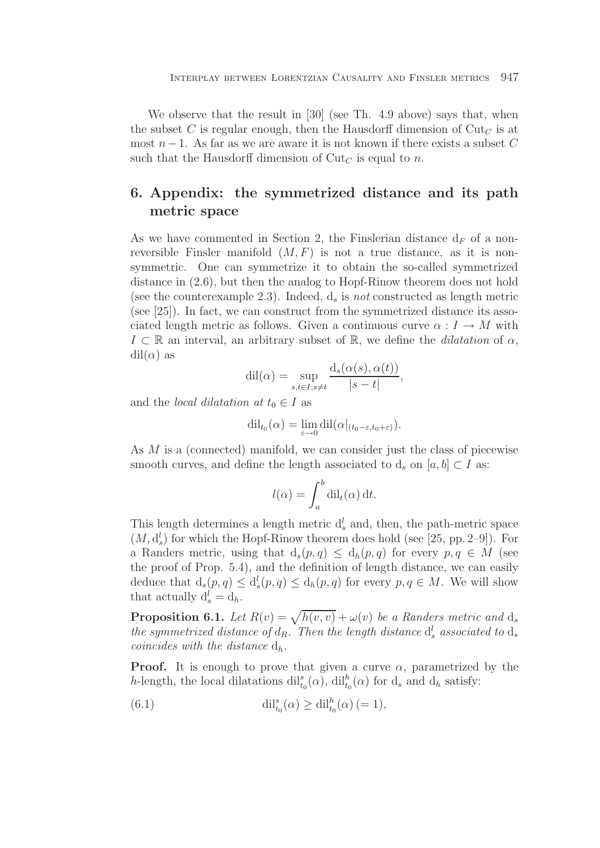We observe that the result in [30] (see Th. 4.9 above) says that, when the subset C is regular enough, then the Hausdorff dimension of  $\mathrm{Cut}_C$  is at most  $n-1$ . As far as we are aware it is not known if there exists a subset C such that the Hausdorff dimension of  $\mathrm{Cut}_C$  is equal to n.

# **6. Appendix: the symmetrized distance and its path metric space**

As we have commented in Section 2, the Finslerian distance  $d_F$  of a nonreversible Finsler manifold  $(M, F)$  is not a true distance, as it is nonsymmetric. One can symmetrize it to obtain the so-called symmetrized distance in (2.6), but then the analog to Hopf-Rinow theorem does not hold (see the counterexample 2.3). Indeed,  $d_s$  is *not* constructed as length metric (see [25]). In fact, we can construct from the symmetrized distance its associated length metric as follows. Given a continuous curve  $\alpha : I \to M$  with  $I \subset \mathbb{R}$  an interval, an arbitrary subset of  $\mathbb{R}$ , we define the *dilatation* of  $\alpha$ ,  $\mathrm{dil}(\alpha)$  as

$$
dil(\alpha) = \sup_{s,t \in I; s \neq t} \frac{d_s(\alpha(s), \alpha(t))}{|s - t|},
$$

and the *local dilatation* at  $t_0 \in I$  as

$$
\mathrm{dil}_{t_0}(\alpha) = \lim_{\varepsilon \to 0} \mathrm{dil}(\alpha|_{(t_0-\varepsilon,t_0+\varepsilon)}).
$$

As M is a (connected) manifold, we can consider just the class of piecewise smooth curves, and define the length associated to  $d_s$  on  $[a, b] \subset I$  as:

$$
l(\alpha) = \int_a^b \mathrm{dil}_t(\alpha) \, \mathrm{d}t.
$$

This length determines a length metric  $d_s^l$  and, then, the path-metric space  $(M, d^l)$  for which the Horf Binow theorem does hold (see [25, pp. 2, 0]). For  $(M, d_s^l)$  for which the Hopf-Rinow theorem does hold (see [25, pp. 2–9]). For a Randers metric, using that  $d_s(p,q) \leq d_h(p,q)$  for every  $p,q \in M$  (see the proof of Prop. 5.4), and the definition of length distance, we can easily deduce that  $d_s(p,q) \leq d_s'(p,q) \leq d_h(p,q)$  for every  $p,q \in M$ . We will show that actually  $d' = d$ . that actually  $d_s^l = d_h$ .

**Proposition 6.1.** Let  $R(v) = \sqrt{h(v, v)} + \omega(v)$  be a Randers metric and ds the summatrice distance of d. Then the langth distance of a second to dethe symmetrized distance of  $d_R$ . Then the length distance  $d_s^l$  associated to  $d_s$ <br>coincides with the distance d coincides with the distance  $d_h$ .

**Proof.** It is enough to prove that given a curve  $\alpha$ , parametrized by the h-length, the local dilatations  $\mathrm{dil}_{t_0}^s(\alpha)$ ,  $\mathrm{dil}_{t_0}^h(\alpha)$  for  $d_s$  and  $d_h$  satisfy:

(6.1) 
$$
\mathrm{dil}_{t_0}^s(\alpha) \geq \mathrm{dil}_{t_0}^h(\alpha) (= 1),
$$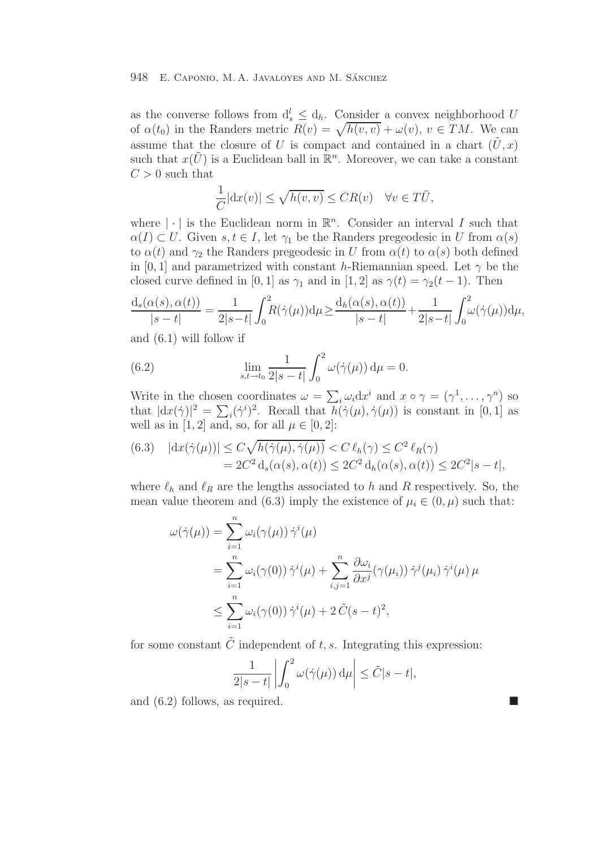as the converse follows from  $d_s' \leq d_h$ . Consider a convex neighborhood U<br>of  $g(t_1)$  in the Banders metric  $B(s) = \sqrt{h(s_1, s_1)} + g(s_1, s_2) \in TM$ . We gan of  $\alpha(t_0)$  in the Randers metric  $R(v) = \sqrt{h(v,v)} + \omega(v)$ ,  $v \in TM$ . We can assume that the closure of U is compact and contained in a chart  $(\tilde{U},x)$ such that  $x(\tilde{U})$  is a Euclidean ball in  $\mathbb{R}^n$ . Moreover, we can take a constant  $C > 0$  such that

$$
\frac{1}{C}|\mathrm{d}x(v)| \le \sqrt{h(v,v)} \le CR(v) \quad \forall v \in T\tilde{U},
$$

where  $|\cdot|$  is the Euclidean norm in  $\mathbb{R}^n$ . Consider an interval I such that  $\alpha(I) \subset U$ . Given  $s, t \in I$ , let  $\gamma_1$  be the Randers pregeodesic in U from  $\alpha(s)$ to  $\alpha(t)$  and  $\gamma_2$  the Randers pregeodesic in U from  $\alpha(t)$  to  $\alpha(s)$  both defined in [0, 1] and parametrized with constant h-Riemannian speed. Let  $\gamma$  be the closed curve defined in [0, 1] as  $\gamma_1$  and in [1, 2] as  $\gamma(t) = \gamma_2(t-1)$ . Then

$$
\frac{d_s(\alpha(s), \alpha(t))}{|s-t|} = \frac{1}{2|s-t|} \int_0^2 R(\dot{\gamma}(\mu)) d\mu \ge \frac{d_h(\alpha(s), \alpha(t))}{|s-t|} + \frac{1}{2|s-t|} \int_0^2 \omega(\dot{\gamma}(\mu)) d\mu,
$$

and (6.1) will follow if

(6.2) 
$$
\lim_{s,t \to t_0} \frac{1}{2|s-t|} \int_0^2 \omega(\dot{\gamma}(\mu)) d\mu = 0.
$$

Write in the chosen coordinates  $\omega = \sum_i \omega_i dx^i$  and  $x \circ \gamma = (\gamma^1, \dots, \gamma^n)$  so<br>that  $|dx(\alpha)|^2 = \sum_i (\alpha^i)^2$ . Bocall that  $h(\alpha(u), \dot{\alpha}(u))$  is constant in [0, 1] as that  $|dx(\dot{\gamma})|^2 = \sum_i (\dot{\gamma}^i)^2$ . Recall that  $\overline{h}(\dot{\gamma}(\mu), \dot{\gamma}(\mu))$  is constant in [0, 1] as well as in [1, 2] and, so, for all  $\mu \in [0, 2]$ :

(6.3) 
$$
|dx(\dot{\gamma}(\mu))| \le C\sqrt{h(\dot{\gamma}(\mu), \dot{\gamma}(\mu))} < C \ell_h(\gamma) \le C^2 \ell_R(\gamma)
$$
  
=  $2C^2 d_s(\alpha(s), \alpha(t)) \le 2C^2 d_h(\alpha(s), \alpha(t)) \le 2C^2|s - t|,$ 

where  $\ell_h$  and  $\ell_R$  are the lengths associated to h and R respectively. So, the mean value theorem and (6.3) imply the existence of  $\mu_i \in (0, \mu)$  such that:

$$
\omega(\dot{\gamma}(\mu)) = \sum_{i=1}^{n} \omega_i(\gamma(\mu)) \dot{\gamma}^i(\mu)
$$
  
= 
$$
\sum_{i=1}^{n} \omega_i(\gamma(0)) \dot{\gamma}^i(\mu) + \sum_{i,j=1}^{n} \frac{\partial \omega_i}{\partial x^j}(\gamma(\mu_i)) \dot{\gamma}^j(\mu_i) \dot{\gamma}^i(\mu) \mu
$$
  

$$
\leq \sum_{i=1}^{n} \omega_i(\gamma(0)) \dot{\gamma}^i(\mu) + 2 \tilde{C}(s - t)^2,
$$

for some constant  $\tilde{C}$  independent of t, s. Integrating this expression:

$$
\frac{1}{2|s-t|} \left| \int_0^2 \omega(\dot{\gamma}(\mu)) d\mu \right| \leq \tilde{C}|s-t|,
$$

and  $(6.2)$  follows, as required.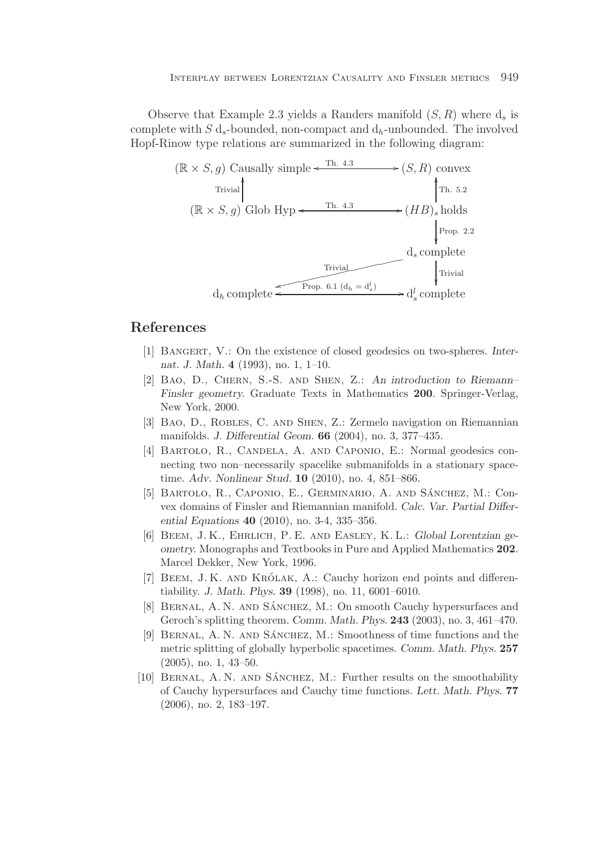Observe that Example 2.3 yields a Randers manifold  $(S, R)$  where  $d_s$  is complete with S  $d_s$ -bounded, non-compact and  $d_h$ -unbounded. The involved Hopf-Rinow type relations are summarized in the following diagram:



## **References**

- [1] Bangert, V.: On the existence of closed geodesics on two-spheres. *Internat. J. Math.* **4** (1993), no. 1, 1–10.
- [2] Bao, D., Chern, S.-S. and Shen, Z.: *An introduction to Riemann– Finsler geometry.* Graduate Texts in Mathematics **200**. Springer-Verlag, New York, 2000.
- [3] BAO, D., ROBLES, C. AND SHEN, Z.: Zermelo navigation on Riemannian manifolds. *J. Differential Geom.* **66** (2004), no. 3, 377–435.
- [4] BARTOLO, R., CANDELA, A. AND CAPONIO, E.: Normal geodesics connecting two non–necessarily spacelike submanifolds in a stationary spacetime. *Adv. Nonlinear Stud.* **10** (2010), no. 4, 851–866.
- [5] BARTOLO, R., CAPONIO, E., GERMINARIO, A. AND SÁNCHEZ, M.: Convex domains of Finsler and Riemannian manifold. *Calc. Var. Partial Differential Equations* **40** (2010), no. 3-4, 335–356.
- [6] Beem, J. K., Ehrlich, P. E. and Easley, K. L.: *Global Lorentzian geometry.* Monographs and Textbooks in Pure and Applied Mathematics **202**. Marcel Dekker, New York, 1996.
- [7] BEEM, J.K. AND KRÓLAK, A.: Cauchy horizon end points and differentiability. *J. Math. Phys.* **39** (1998), no. 11, 6001–6010.
- [8] BERNAL, A. N. AND SÁNCHEZ, M.: On smooth Cauchy hypersurfaces and Geroch's splitting theorem. *Comm. Math. Phys.* **243** (2003), no. 3, 461–470.
- [9] BERNAL, A. N. AND SANCHEZ, M.: Smoothness of time functions and the metric splitting of globally hyperbolic spacetimes. *Comm. Math. Phys.* **257** (2005), no. 1, 43–50.
- [10] BERNAL, A. N. AND SÁNCHEZ, M.: Further results on the smoothability of Cauchy hypersurfaces and Cauchy time functions. *Lett. Math. Phys.* **77** (2006), no. 2, 183–197.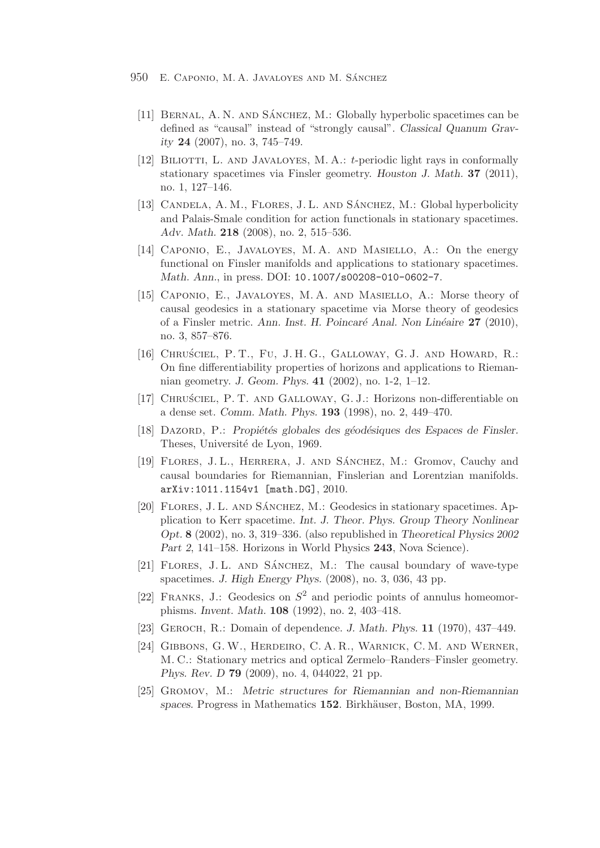- 950 E. CAPONIO, M. A. JAVALOYES AND M. SÁNCHEZ
	- [11] BERNAL, A. N. AND SÁNCHEZ, M.: Globally hyperbolic spacetimes can be defined as "causal" instead of "strongly causal". *Classical Quanum Gravity* **24** (2007), no. 3, 745–749.
	- [12] BILIOTTI, L. AND JAVALOYES, M. A.: t-periodic light rays in conformally stationary spacetimes via Finsler geometry. *Houston J. Math.* **37** (2011), no. 1, 127–146.
	- [13] CANDELA, A. M., FLORES, J. L. AND SANCHEZ, M.: Global hyperbolicity and Palais-Smale condition for action functionals in stationary spacetimes. *Adv. Math.* **218** (2008), no. 2, 515–536.
	- [14] Caponio, E., Javaloyes, M. A. and Masiello, A.: On the energy functional on Finsler manifolds and applications to stationary spacetimes. *Math. Ann.*, in press. DOI: 10.1007/s00208-010-0602-7.
	- [15] Caponio, E., Javaloyes, M. A. and Masiello, A.: Morse theory of causal geodesics in a stationary spacetime via Morse theory of geodesics of a Finsler metric. *Ann. Inst. H. Poincar´e Anal. Non Lin´eaire* **27** (2010), no. 3, 857–876.
	- [16] CHRUSCIEL, P. T., FU, J. H. G., GALLOWAY, G. J. AND HOWARD, R.: On fine differentiability properties of horizons and applications to Riemannian geometry. *J. Geom. Phys.* **41** (2002), no. 1-2, 1–12.
	- [17] Chru´sciel, P. T. and Galloway, G. J.: Horizons non-differentiable on a dense set. *Comm. Math. Phys.* **193** (1998), no. 2, 449–470.
	- [18] DAZORD, P.: *Propiétés globales des géodésiques des Espaces de Finsler.* Theses, Université de Lyon, 1969.
	- [19] FLORES, J.L., HERRERA, J. AND SÁNCHEZ, M.: Gromov, Cauchy and causal boundaries for Riemannian, Finslerian and Lorentzian manifolds. arXiv:1011.1154v1 [math.DG], 2010.
	- [20] FLORES, J. L. AND SÁNCHEZ, M.: Geodesics in stationary spacetimes. Application to Kerr spacetime. *Int. J. Theor. Phys. Group Theory Nonlinear Opt.* **8** (2002), no. 3, 319–336. (also republished in *Theoretical Physics 2002 Part 2*, 141–158. Horizons in World Physics **243**, Nova Science).
	- [21] FLORES, J.L. AND SÁNCHEZ, M.: The causal boundary of wave-type spacetimes. *J. High Energy Phys.* (2008), no. 3, 036, 43 pp.
	- [22] FRANKS, J.: Geodesics on  $S^2$  and periodic points of annulus homeomorphisms. *Invent. Math.* **108** (1992), no. 2, 403–418.
	- [23] Geroch, R.: Domain of dependence. *J. Math. Phys.* **11** (1970), 437–449.
	- [24] Gibbons, G. W., Herdeiro, C. A. R., Warnick, C. M. and Werner, M. C.: Stationary metrics and optical Zermelo–Randers–Finsler geometry. *Phys. Rev. D* **79** (2009), no. 4, 044022, 21 pp.
	- [25] Gromov, M.: *Metric structures for Riemannian and non-Riemannian spaces.* Progress in Mathematics **152**. Birkh¨auser, Boston, MA, 1999.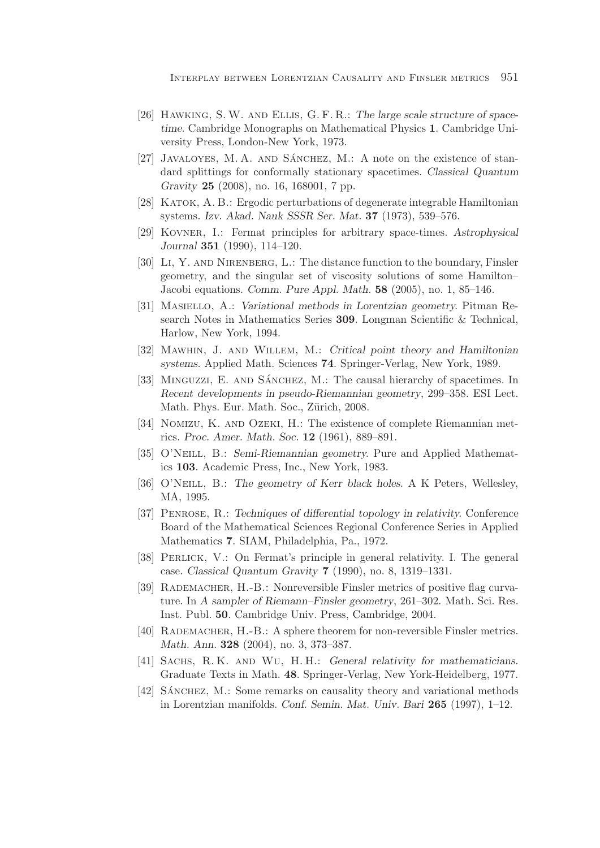- [26] Hawking, S. W. and Ellis, G. F. R.: *The large scale structure of spacetime.* Cambridge Monographs on Mathematical Physics **1**. Cambridge University Press, London-New York, 1973.
- [27] JAVALOYES, M. A. AND SÁNCHEZ, M.: A note on the existence of standard splittings for conformally stationary spacetimes. *Classical Quantum Gravity* **25** (2008), no. 16, 168001, 7 pp.
- [28] Katok, A. B.: Ergodic perturbations of degenerate integrable Hamiltonian systems. *Izv. Akad. Nauk SSSR Ser. Mat.* **37** (1973), 539–576.
- [29] Kovner, I.: Fermat principles for arbitrary space-times. *Astrophysical Journal* **351** (1990), 114–120.
- [30] Li, Y. and Nirenberg, L.: The distance function to the boundary, Finsler geometry, and the singular set of viscosity solutions of some Hamilton– Jacobi equations. *Comm. Pure Appl. Math.* **58** (2005), no. 1, 85–146.
- [31] Masiello, A.: *Variational methods in Lorentzian geometry.* Pitman Research Notes in Mathematics Series **309**. Longman Scientific & Technical, Harlow, New York, 1994.
- [32] Mawhin, J. and Willem, M.: *Critical point theory and Hamiltonian systems.* Applied Math. Sciences **74**. Springer-Verlag, New York, 1989.
- [33] MINGUZZI, E. AND SÁNCHEZ, M.: The causal hierarchy of spacetimes. In *Recent developments in pseudo-Riemannian geometry*, 299–358. ESI Lect. Math. Phys. Eur. Math. Soc., Zürich, 2008.
- [34] NOMIZU, K. AND OZEKI, H.: The existence of complete Riemannian metrics. *Proc. Amer. Math. Soc.* **12** (1961), 889–891.
- [35] O'Neill, B.: *Semi-Riemannian geometry.* Pure and Applied Mathematics **103**. Academic Press, Inc., New York, 1983.
- [36] O'Neill, B.: *The geometry of Kerr black holes.* A K Peters, Wellesley, MA, 1995.
- [37] Penrose, R.: *Techniques of differential topology in relativity.* Conference Board of the Mathematical Sciences Regional Conference Series in Applied Mathematics **7**. SIAM, Philadelphia, Pa., 1972.
- [38] Perlick, V.: On Fermat's principle in general relativity. I. The general case. *Classical Quantum Gravity* **7** (1990), no. 8, 1319–1331.
- [39] Rademacher, H.-B.: Nonreversible Finsler metrics of positive flag curvature. In *A sampler of Riemann–Finsler geometry*, 261–302. Math. Sci. Res. Inst. Publ. **50**. Cambridge Univ. Press, Cambridge, 2004.
- [40] Rademacher, H.-B.: A sphere theorem for non-reversible Finsler metrics. *Math. Ann.* **328** (2004), no. 3, 373–387.
- [41] Sachs, R. K. and Wu, H. H.: *General relativity for mathematicians.* Graduate Texts in Math. **48**. Springer-Verlag, New York-Heidelberg, 1977.
- [42] SANCHEZ, M.: Some remarks on causality theory and variational methods in Lorentzian manifolds. *Conf. Semin. Mat. Univ. Bari* **265** (1997), 1–12.